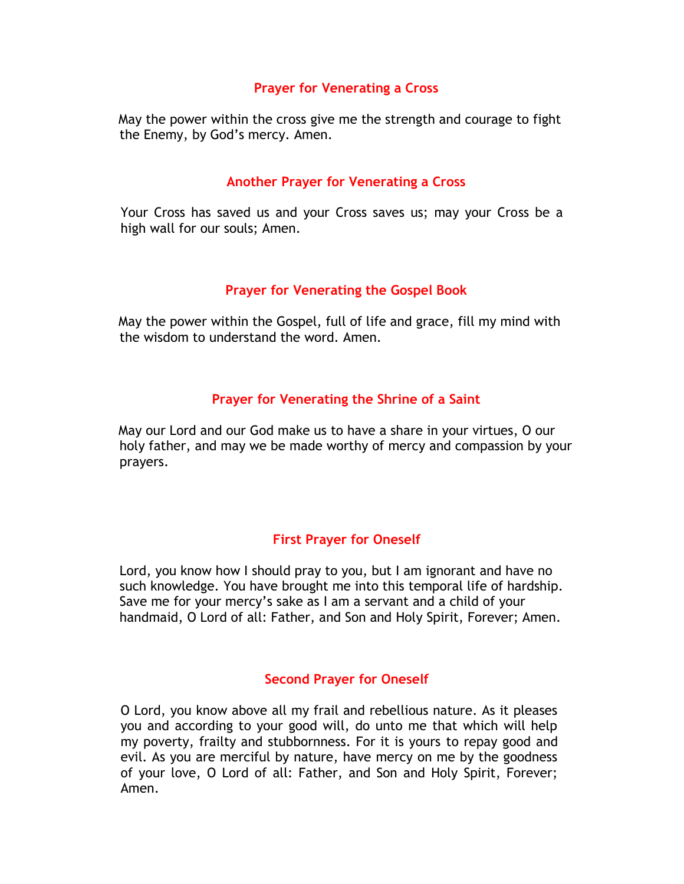# **Prayer for Venerating a Cross**

May the power within the cross give me the strength and courage to fight the Enemy, by God's mercy. Amen.

# **Another Prayer for Venerating a Cross**

Your Cross has saved us and your Cross saves us; may your Cross be a high wall for our souls; Amen.

# **Prayer for Venerating the Gospel Book**

May the power within the Gospel, full of life and grace, fill my mind with the wisdom to understand the word. Amen.

# **Prayer for Venerating the Shrine of a Saint**

May our Lord and our God make us to have a share in your virtues, O our holy father, and may we be made worthy of mercy and compassion by your prayers.

# **First Prayer for Oneself**

Lord, you know how I should pray to you, but I am ignorant and have no such knowledge. You have brought me into this temporal life of hardship. Save me for your mercy's sake as I am a servant and a child of your handmaid, O Lord of all: Father, and Son and Holy Spirit, Forever; Amen.

# **Second Prayer for Oneself**

O Lord, you know above all my frail and rebellious nature. As it pleases you and according to your good will, do unto me that which will help my poverty, frailty and stubbornness. For it is yours to repay good and evil. As you are merciful by nature, have mercy on me by the goodness of your love, O Lord of all: Father, and Son and Holy Spirit, Forever; Amen.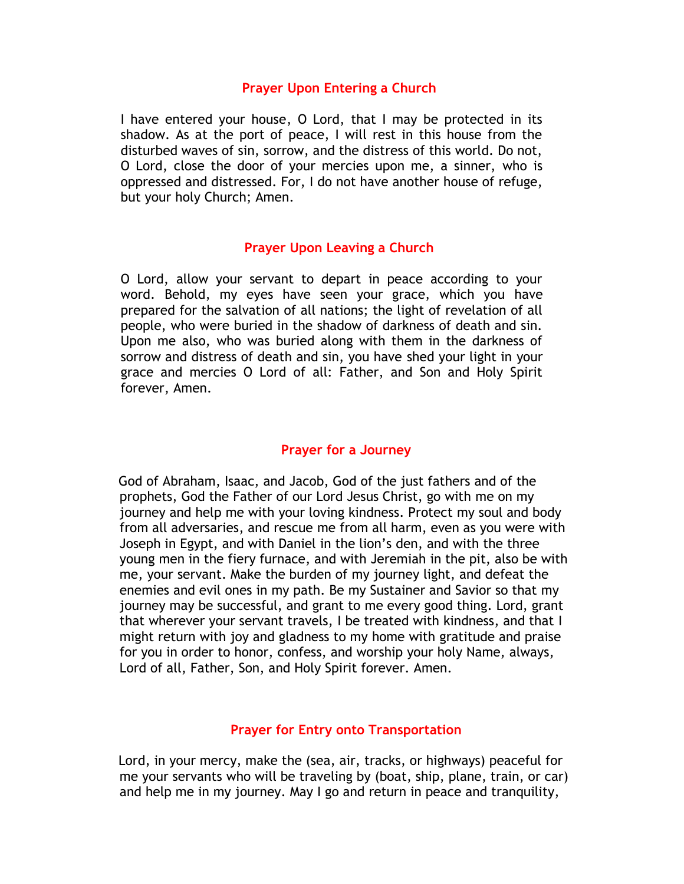# **Prayer Upon Entering a Church**

I have entered your house, O Lord, that I may be protected in its shadow. As at the port of peace, I will rest in this house from the disturbed waves of sin, sorrow, and the distress of this world. Do not, O Lord, close the door of your mercies upon me, a sinner, who is oppressed and distressed. For, I do not have another house of refuge, but your holy Church; Amen.

# **Prayer Upon Leaving a Church**

O Lord, allow your servant to depart in peace according to your word. Behold, my eyes have seen your grace, which you have prepared for the salvation of all nations; the light of revelation of all people, who were buried in the shadow of darkness of death and sin. Upon me also, who was buried along with them in the darkness of sorrow and distress of death and sin, you have shed your light in your grace and mercies O Lord of all: Father, and Son and Holy Spirit forever, Amen.

# **Prayer for a Journey**

God of Abraham, Isaac, and Jacob, God of the just fathers and of the prophets, God the Father of our Lord Jesus Christ, go with me on my journey and help me with your loving kindness. Protect my soul and body from all adversaries, and rescue me from all harm, even as you were with Joseph in Egypt, and with Daniel in the lion's den, and with the three young men in the fiery furnace, and with Jeremiah in the pit, also be with me, your servant. Make the burden of my journey light, and defeat the enemies and evil ones in my path. Be my Sustainer and Savior so that my journey may be successful, and grant to me every good thing. Lord, grant that wherever your servant travels, I be treated with kindness, and that I might return with joy and gladness to my home with gratitude and praise for you in order to honor, confess, and worship your holy Name, always, Lord of all, Father, Son, and Holy Spirit forever. Amen.

# **Prayer for Entry onto Transportation**

Lord, in your mercy, make the (sea, air, tracks, or highways) peaceful for me your servants who will be traveling by (boat, ship, plane, train, or car) and help me in my journey. May I go and return in peace and tranquility,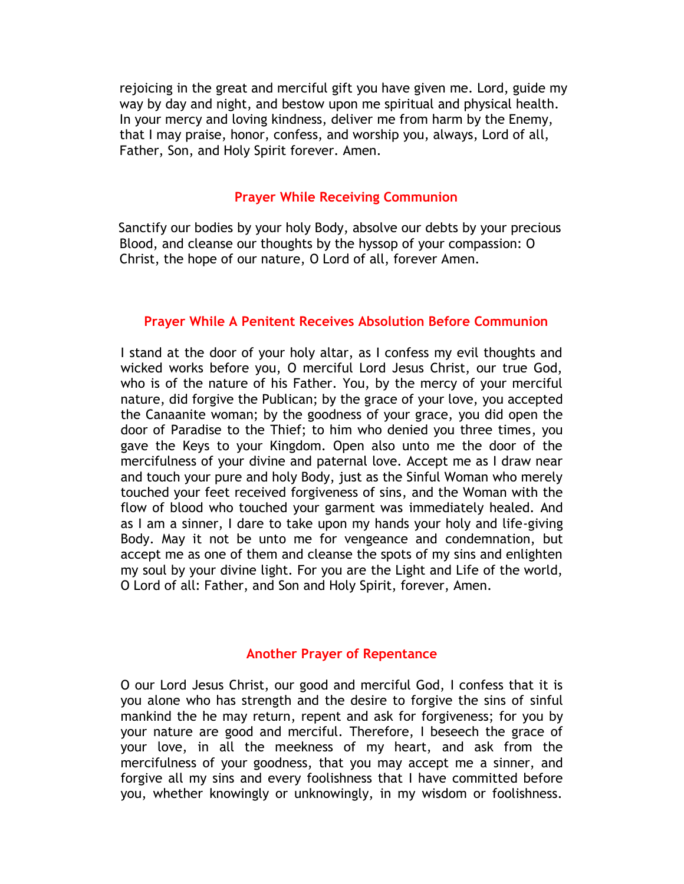rejoicing in the great and merciful gift you have given me. Lord, guide my way by day and night, and bestow upon me spiritual and physical health. In your mercy and loving kindness, deliver me from harm by the Enemy, that I may praise, honor, confess, and worship you, always, Lord of all, Father, Son, and Holy Spirit forever. Amen.

# **Prayer While Receiving Communion**

Sanctify our bodies by your holy Body, absolve our debts by your precious Blood, and cleanse our thoughts by the hyssop of your compassion: O Christ, the hope of our nature, O Lord of all, forever Amen.

# **Prayer While A Penitent Receives Absolution Before Communion**

I stand at the door of your holy altar, as I confess my evil thoughts and wicked works before you, O merciful Lord Jesus Christ, our true God, who is of the nature of his Father. You, by the mercy of your merciful nature, did forgive the Publican; by the grace of your love, you accepted the Canaanite woman; by the goodness of your grace, you did open the door of Paradise to the Thief; to him who denied you three times, you gave the Keys to your Kingdom. Open also unto me the door of the mercifulness of your divine and paternal love. Accept me as I draw near and touch your pure and holy Body, just as the Sinful Woman who merely touched your feet received forgiveness of sins, and the Woman with the flow of blood who touched your garment was immediately healed. And as I am a sinner, I dare to take upon my hands your holy and life-giving Body. May it not be unto me for vengeance and condemnation, but accept me as one of them and cleanse the spots of my sins and enlighten my soul by your divine light. For you are the Light and Life of the world, O Lord of all: Father, and Son and Holy Spirit, forever, Amen.

# **Another Prayer of Repentance**

O our Lord Jesus Christ, our good and merciful God, I confess that it is you alone who has strength and the desire to forgive the sins of sinful mankind the he may return, repent and ask for forgiveness; for you by your nature are good and merciful. Therefore, I beseech the grace of your love, in all the meekness of my heart, and ask from the mercifulness of your goodness, that you may accept me a sinner, and forgive all my sins and every foolishness that I have committed before you, whether knowingly or unknowingly, in my wisdom or foolishness.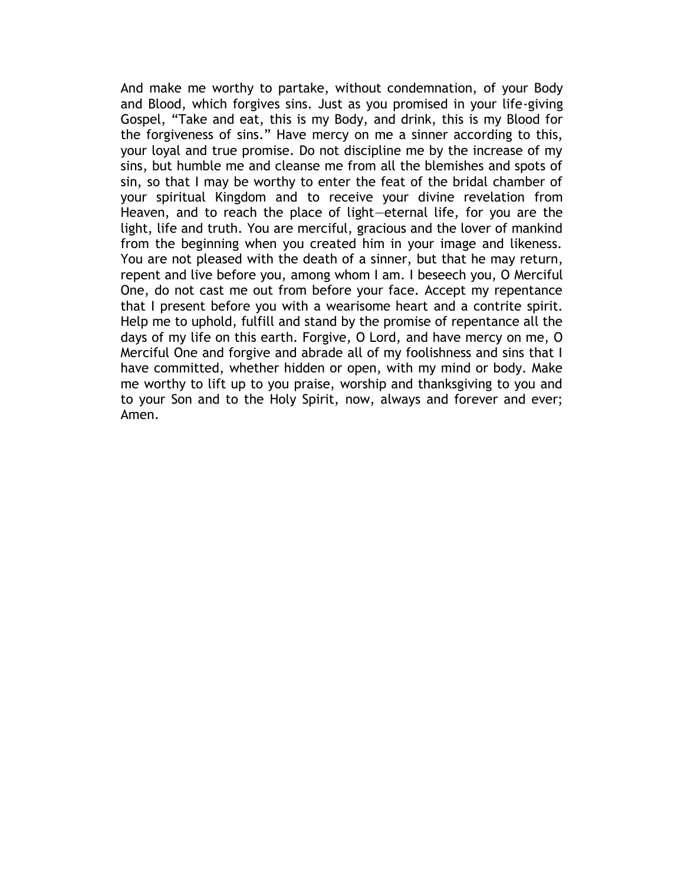And make me worthy to partake, without condemnation, of your Body and Blood, which forgives sins. Just as you promised in your life-giving Gospel, "Take and eat, this is my Body, and drink, this is my Blood for the forgiveness of sins." Have mercy on me a sinner according to this, your loyal and true promise. Do not discipline me by the increase of my sins, but humble me and cleanse me from all the blemishes and spots of sin, so that I may be worthy to enter the feat of the bridal chamber of your spiritual Kingdom and to receive your divine revelation from Heaven, and to reach the place of light—eternal life, for you are the light, life and truth. You are merciful, gracious and the lover of mankind from the beginning when you created him in your image and likeness. You are not pleased with the death of a sinner, but that he may return, repent and live before you, among whom I am. I beseech you, O Merciful One, do not cast me out from before your face. Accept my repentance that I present before you with a wearisome heart and a contrite spirit. Help me to uphold, fulfill and stand by the promise of repentance all the days of my life on this earth. Forgive, O Lord, and have mercy on me, O Merciful One and forgive and abrade all of my foolishness and sins that I have committed, whether hidden or open, with my mind or body. Make me worthy to lift up to you praise, worship and thanksgiving to you and to your Son and to the Holy Spirit, now, always and forever and ever; Amen.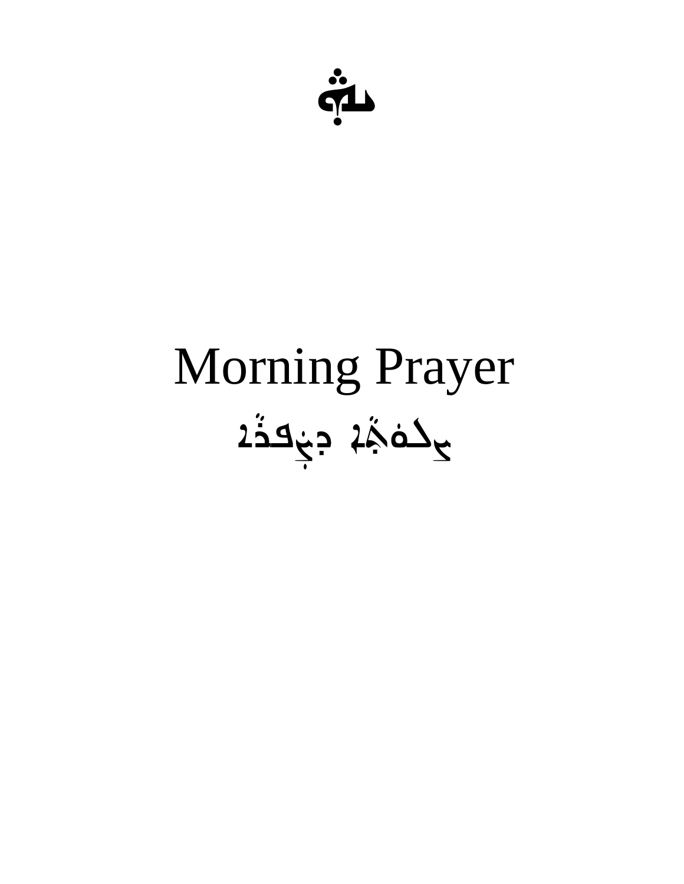

# Morning Prayer <sub>ك</sub>ِلْمَجْهُ دِ<sub>ْك</sub>ِكَذَ  $\frac{1}{\pi}$  $\frac{1}{1}$  $\mathbf{\hat{Z}}$  $\frac{1}{2}$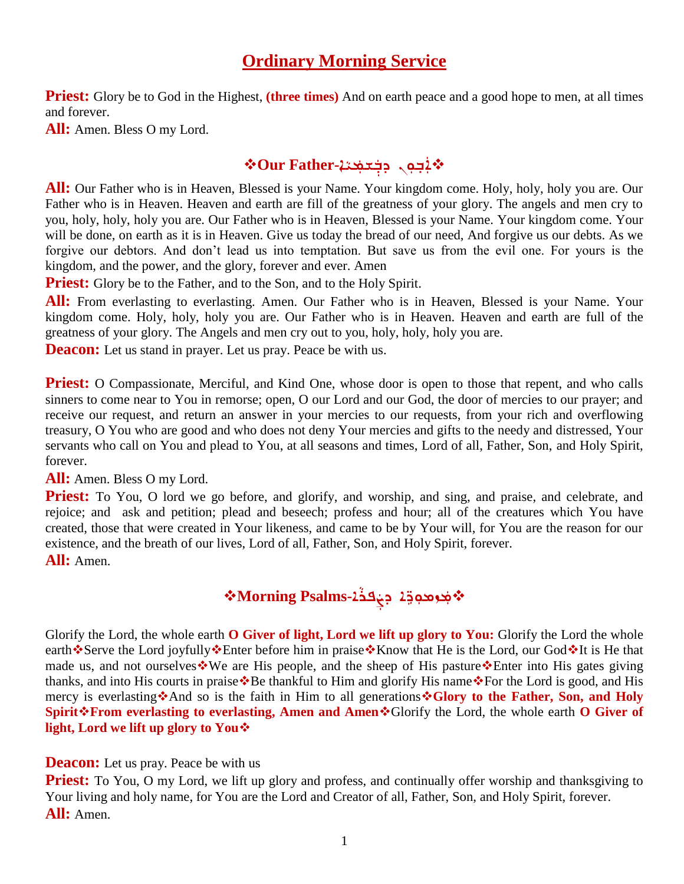# **Ordinary Morning Service**

**Priest:** Glory be to God in the Highest, **(three times)** And on earth peace and a good hope to men, at all times and forever.

**All:** Amen. Bless O my Lord.

#### پ<br>جز<del>ی</del>م√ د<del>ېده د</del> ܿ ܿ

**All:** Our Father who is in Heaven, Blessed is your Name. Your kingdom come. Holy, holy, holy you are. Our Father who is in Heaven. Heaven and earth are fill of the greatness of your glory. The angels and men cry to you, holy, holy, holy you are. Our Father who is in Heaven, Blessed is your Name. Your kingdom come. Your will be done, on earth as it is in Heaven. Give us today the bread of our need, And forgive us our debts. As we forgive our debtors. And don't lead us into temptation. But save us from the evil one. For yours is the kingdom, and the power, and the glory, forever and ever. Amen

**Priest:** Glory be to the Father, and to the Son, and to the Holy Spirit.

**All:** From everlasting to everlasting. Amen. Our Father who is in Heaven, Blessed is your Name. Your kingdom come. Holy, holy, holy you are. Our Father who is in Heaven. Heaven and earth are full of the greatness of your glory. The Angels and men cry out to you, holy, holy, holy you are.

**Deacon:** Let us stand in prayer. Let us pray. Peace be with us.

**Priest:** O Compassionate, Merciful, and Kind One, whose door is open to those that repent, and who calls sinners to come near to You in remorse; open, O our Lord and our God, the door of mercies to our prayer; and receive our request, and return an answer in your mercies to our requests, from your rich and overflowing treasury, O You who are good and who does not deny Your mercies and gifts to the needy and distressed, Your servants who call on You and plead to You, at all seasons and times, Lord of all, Father, Son, and Holy Spirit, forever.

**All:** Amen. Bless O my Lord.

**Priest:** To You, O lord we go before, and glorify, and worship, and sing, and praise, and celebrate, and rejoice; and ask and petition; plead and beseech; profess and hour; all of the creatures which You have created, those that were created in Your likeness, and came to be by Your will, for You are the reason for our existence, and the breath of our lives, Lord of all, Father, Son, and Holy Spirit, forever.

**All:** Amen.

### <sup>ڿ</sup> Morning Psalms-ک<sub>ِ</sub>ڪڏُ 2-Morning Psalms ܵ  $\ddot{\phantom{a}}$

Glorify the Lord, the whole earth **O Giver of light, Lord we lift up glory to You:** Glorify the Lord the whole earth Serve the Lord joyfully Senter before him in praise Strow that He is the Lord, our God SI is He that made us, and not ourselves  $\cdot \cdot \cdot$  We are His people, and the sheep of His pasture  $\cdot \cdot$  Enter into His gates giving thanks, and into His courts in praise  $\cdot$ Be thankful to Him and glorify His name  $\cdot$ For the Lord is good, and His mercy is everlasting**\***And so is the faith in Him to all generations**\*Glory to the Father, Son, and Holy** Spirit**<sup>↓</sup>From everlasting to everlasting, Amen and Amen**• Glorify the Lord, the whole earth **O Giver of light, Lord we lift up glory to You**

**Deacon:** Let us pray. Peace be with us

**Priest:** To You, O my Lord, we lift up glory and profess, and continually offer worship and thanksgiving to Your living and holy name, for You are the Lord and Creator of all, Father, Son, and Holy Spirit, forever. **All:** Amen.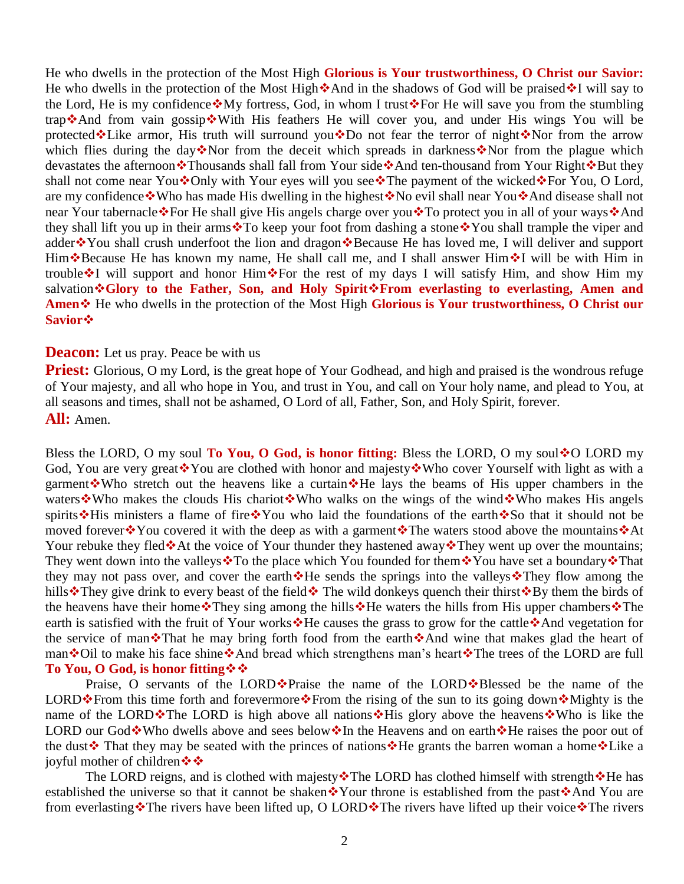He who dwells in the protection of the Most High **Glorious is Your trustworthiness, O Christ our Savior:** He who dwells in the protection of the Most High $\cdot$ And in the shadows of God will be praised $\cdot$ I will say to the Lord, He is my confidence Wy fortress, God, in whom I trust For He will save you from the stumbling trap<sup>\*</sup>And from vain gossip<sup>\*</sup>With His feathers He will cover you, and under His wings You will be protected: Like armor, His truth will surround you: Do not fear the terror of night: Nor from the arrow which flies during the day\*Nor from the deceit which spreads in darkness\*Nor from the plague which devastates the afternoon • Thousands shall fall from Your side • And ten-thousand from Your Right • But they shall not come near You<sup> $\diamondsuit$ </sup>Only with Your eyes will you see  $\diamondsuit$ The payment of the wicked  $\diamondsuit$ For You, O Lord, are my confidence •• Who has made His dwelling in the highest •• No evil shall near You •• And disease shall not near Your tabernacle • For He shall give His angels charge over you • To protect you in all of your ways • And they shall lift you up in their arms  $\cdot \cdot$  To keep your foot from dashing a stone  $\cdot \cdot$  You shall trample the viper and adder<sup>\*</sup>You shall crush underfoot the lion and dragon<sup>\*</sup>Because He has loved me, I will deliver and support Him<sup>\*</sup> Because He has known my name, He shall call me, and I shall answer Him<sup>\*</sup> I will be with Him in trouble  $\cdot$ I will support and honor Him  $\cdot$ For the rest of my days I will satisfy Him, and show Him my salvation<sup>\*</sup> Glory to the Father, Son, and Holy Spirit<sup>\*</sup> From everlasting to everlasting, Amen and Amen<sup>\*</sup> He who dwells in the protection of the Most High Glorious is Your trustworthiness, O Christ our **Savior**

**Deacon:** Let us pray. Peace be with us

**Priest:** Glorious, O my Lord, is the great hope of Your Godhead, and high and praised is the wondrous refuge of Your majesty, and all who hope in You, and trust in You, and call on Your holy name, and plead to You, at all seasons and times, shall not be ashamed, O Lord of all, Father, Son, and Holy Spirit, forever.

**All:** Amen.

Bless the LORD, O my soul **To You, O God, is honor fitting:** Bless the LORD, O my soul<sup>to</sup> UORD my God, You are very great  $\cdot$  You are clothed with honor and majesty  $\cdot$  Who cover Yourself with light as with a garment Who stretch out the heavens like a curtain  $\cdot \cdot$  He lays the beams of His upper chambers in the waters Who makes the clouds His chariot Who walks on the wings of the wind Who makes His angels spirits  $\cdot$ His ministers a flame of fire  $\cdot$ You who laid the foundations of the earth $\cdot$ So that it should not be moved forever<sup>\*</sup>You covered it with the deep as with a garment\*The waters stood above the mountains\*At Your rebuke they fled  $\triangle A$ t the voice of Your thunder they hastened away  $\triangle A$ They went up over the mountains; They went down into the valleys  $\cdot \cdot$  To the place which You founded for them  $\cdot \cdot$  You have set a boundary  $\cdot \cdot$  That they may not pass over, and cover the earth  $*H$ e sends the springs into the valleys  $*T$ hey flow among the hills<sup>\*</sup>They give drink to every beast of the field \* The wild donkeys quench their thirst\*By them the birds of the heavens have their home  $\cdot \cdot$  They sing among the hills  $\cdot \cdot$  He waters the hills from His upper chambers  $\cdot \cdot$  The earth is satisfied with the fruit of Your works $\cdot \cdot$ He causes the grass to grow for the cattle $\cdot \cdot$ And vegetation for the service of man<sup>\*</sup>That he may bring forth food from the earth<sup>\*</sup>And wine that makes glad the heart of man • Oil to make his face shine • And bread which strengthens man's heart • The trees of the LORD are full **To You, O God, is honor fitting**

Praise, O servants of the LORD $\cdot$ Praise the name of the LORD $\cdot$ PBlessed be the name of the LORD From this time forth and forevermore From the rising of the sun to its going down Mighty is the name of the LORD The LORD is high above all nations  $\cdot$ His glory above the heavens  $\cdot \cdot$ Who is like the LORD our God<sup>\*</sup>Who dwells above and sees below<sup>\*</sup>In the Heavens and on earth\*He raises the poor out of the dust<sup>\*</sup> That they may be seated with the princes of nations\*He grants the barren woman a home\*Like a joyful mother of children  $\cdot \cdot$ 

The LORD reigns, and is clothed with majesty  $\cdot \cdot$ The LORD has clothed himself with strength $\cdot \cdot$ He has established the universe so that it cannot be shaken  $\cdot \cdot$ Your throne is established from the past $\cdot \cdot$ And You are from everlasting  $\cdot$  The rivers have been lifted up, O LORD  $\cdot$  The rivers have lifted up their voice  $\cdot$  The rivers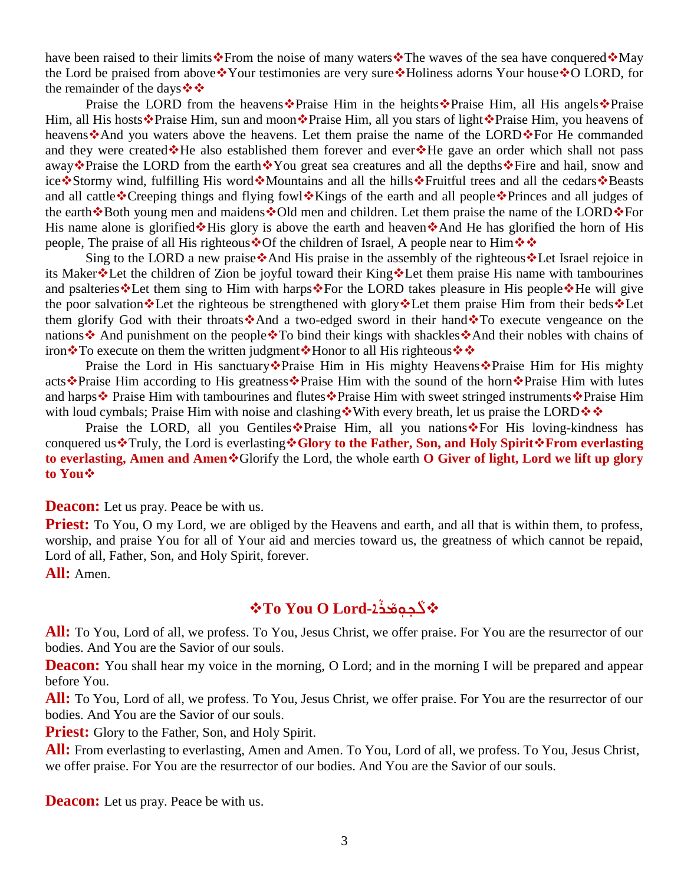have been raised to their limits  $\cdot \cdot$  From the noise of many waters  $\cdot \cdot$  The waves of the sea have conquered  $\cdot \cdot$  May the Lord be praised from above \*Your testimonies are very sure \*Holiness adorns Your house \*O LORD, for the remainder of the days  $\mathbf{\hat{P}}$ 

Praise the LORD from the heavens Praise Him in the heights Praise Him, all His angels Praise Him, all His hosts • Praise Him, sun and moon • Praise Him, all you stars of light • Praise Him, you heavens of heavens<sup>\*</sup>And you waters above the heavens. Let them praise the name of the LORD\*For He commanded and they were created  $\cdot$ He also established them forever and ever  $\cdot$ He gave an order which shall not pass away\*Praise the LORD from the earth\*You great sea creatures and all the depths\*Fire and hail, snow and ice •Stormy wind, fulfilling His word •Mountains and all the hills •Fruitful trees and all the cedars •Peasts and all cattle<sup>•</sup>Creeping things and flying fowl•Filmes of the earth and all people•Princes and all judges of the earth  $\cdot$ Both young men and maidens  $\cdot$ Old men and children. Let them praise the name of the LORD  $\cdot$ For His name alone is glorified  $*$ His glory is above the earth and heaven  $*$ And He has glorified the horn of His people, The praise of all His righteous  $\cdot \cdot$  Of the children of Israel, A people near to Him  $\cdot \cdot$ 

Sing to the LORD a new praise  $\cdot \cdot$  And His praise in the assembly of the righteous  $\cdot \cdot$  Let Israel rejoice in its Maker<sup>\*</sup>Let the children of Zion be joyful toward their King\*Let them praise His name with tambourines and psalteries. Let them sing to Him with harps. For the LORD takes pleasure in His people. He will give the poor salvation  $\cdot$  Let the righteous be strengthened with glory  $\cdot$  Let them praise Him from their beds  $\cdot$  Let them glorify God with their throats And a two-edged sword in their hand  $\cdot$ To execute vengeance on the nations  $\cdot$  And punishment on the people  $\cdot$  To bind their kings with shackles  $\cdot$  And their nobles with chains of iron  $\cdot$ To execute on them the written judgment  $\cdot$ Honor to all His righteous  $\cdot \cdot$ 

Praise the Lord in His sanctuary Praise Him in His mighty Heavens Praise Him for His mighty acts: Praise Him according to His greatness: Praise Him with the sound of the horn: Praise Him with lutes and harps  $\cdot \cdot$  Praise Him with tambourines and flutes  $\cdot \cdot$  Praise Him with sweet stringed instruments  $\cdot \cdot$  Praise Him with loud cymbals; Praise Him with noise and clashing \* With every breath, let us praise the LORD \* \*

Praise the LORD, all you Gentiles Praise Him, all you nations  $\cdot$ For His loving-kindness has conquered us<sup>\*</sup>Truly, the Lord is everlasting<sup>\*</sup>Glory to the Father, Son, and Holy Spirit<sup>\*</sup>From everlasting **to everlasting, Amen and Amen** ❖ Glorify the Lord, the whole earth **O** Giver of light, Lord we lift up glory **to You**

**Deacon:** Let us pray. Peace be with us.

**Priest:** To You, O my Lord, we are obliged by the Heavens and earth, and all that is within them, to profess, worship, and praise You for all of Your aid and mercies toward us, the greatness of which cannot be repaid, Lord of all, Father, Son, and Holy Spirit, forever.

**All:** Amen.

#### \*To You O Lord-<mark>کجوشڈ</mark> ܵ ܵ

All: To You, Lord of all, we profess. To You, Jesus Christ, we offer praise. For You are the resurrector of our bodies. And You are the Savior of our souls.

**Deacon:** You shall hear my voice in the morning, O Lord; and in the morning I will be prepared and appear before You.

All: To You, Lord of all, we profess. To You, Jesus Christ, we offer praise. For You are the resurrector of our bodies. And You are the Savior of our souls.

**Priest:** Glory to the Father, Son, and Holy Spirit.

**All:** From everlasting to everlasting, Amen and Amen. To You, Lord of all, we profess. To You, Jesus Christ, we offer praise. For You are the resurrector of our bodies. And You are the Savior of our souls.

**Deacon:** Let us pray. Peace be with us.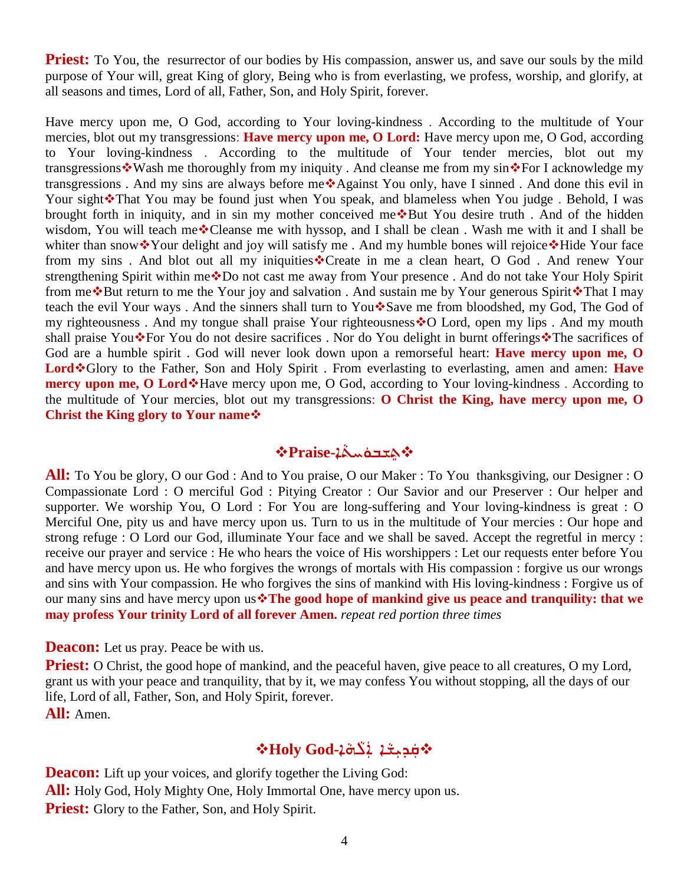**Priest:** To You, the resurrector of our bodies by His compassion, answer us, and save our souls by the mild purpose of Your will, great King of glory, Being who is from everlasting, we profess, worship, and glorify, at all seasons and times, Lord of all, Father, Son, and Holy Spirit, forever.

Have mercy upon me, O God, according to Your loving-kindness . According to the multitude of Your mercies, blot out my transgressions: **Have mercy upon me, O Lord:** Have mercy upon me, O God, according to Your loving-kindness . According to the multitude of Your tender mercies, blot out my transgressions  $\cdot \cdot$  Wash me thoroughly from my iniquity. And cleanse me from my sin  $\cdot \cdot$  For I acknowledge my transgressions. And my sins are always before me $\cdot$ Against You only, have I sinned. And done this evil in Your sight  $\cdot$  That You may be found just when You speak, and blameless when You judge. Behold, I was brought forth in iniquity, and in sin my mother conceived me $\cdot$ But You desire truth. And of the hidden wisdom, You will teach me $\cdot$ Cleanse me with hyssop, and I shall be clean. Wash me with it and I shall be whiter than snow  $\cdot \cdot$  Your delight and joy will satisfy me. And my humble bones will rejoice  $\cdot \cdot$  Hide Your face from my sins. And blot out all my iniquities Create in me a clean heart, O God. And renew Your strengthening Spirit within me• Do not cast me away from Your presence. And do not take Your Holy Spirit from me\*But return to me the Your joy and salvation. And sustain me by Your generous Spirit\*That I may teach the evil Your ways. And the sinners shall turn to You Save me from bloodshed, my God, The God of my righteousness. And my tongue shall praise Your righteousness  $\cdot$ O Lord, open my lips. And my mouth shall praise You For You do not desire sacrifices. Nor do You delight in burnt offerings The sacrifices of God are a humble spirit . God will never look down upon a remorseful heart: **Have mercy upon me, O**  Lord<sup>\*</sup>Glory to the Father, Son and Holy Spirit. From everlasting to everlasting, amen and amen: **Have mercy upon me, O Lord**  $\triangleleft$  Have mercy upon me, O God, according to Your loving-kindness. According to the multitude of Your mercies, blot out my transgressions: **O Christ the King, have mercy upon me, O Christ the King glory to Your name**

#### **❖Praise-٤ محتدم ۞** ܵ ܿ

**All:** To You be glory, O our God : And to You praise, O our Maker : To You thanksgiving, our Designer : O Compassionate Lord : O merciful God : Pitying Creator : Our Savior and our Preserver : Our helper and supporter. We worship You, O Lord : For You are long-suffering and Your loving-kindness is great : O Merciful One, pity us and have mercy upon us. Turn to us in the multitude of Your mercies : Our hope and strong refuge : O Lord our God, illuminate Your face and we shall be saved. Accept the regretful in mercy : receive our prayer and service : He who hears the voice of His worshippers : Let our requests enter before You and have mercy upon us. He who forgives the wrongs of mortals with His compassion : forgive us our wrongs and sins with Your compassion. He who forgives the sins of mankind with His loving-kindness : Forgive us of our many sins and have mercy upon us**\*The good hope of mankind give us peace and tranquility: that we may profess Your trinity Lord of all forever Amen.** *repeat red portion three times*

**Deacon:** Let us pray. Peace be with us.

**Priest:** O Christ, the good hope of mankind, and the peaceful haven, give peace to all creatures, O my Lord, grant us with your peace and tranquility, that by it, we may confess You without stopping, all the days of our life, Lord of all, Father, Son, and Holy Spirit, forever.

**All:** Amen.

#### \* <del>باد جدّ 1 عُدّ م</del>ن جُگ∂2+Holy God \* ܵ ܿ ܵ ܿ

**Deacon:** Lift up your voices, and glorify together the Living God: All: Holy God, Holy Mighty One, Holy Immortal One, have mercy upon us. **Priest:** Glory to the Father, Son, and Holy Spirit.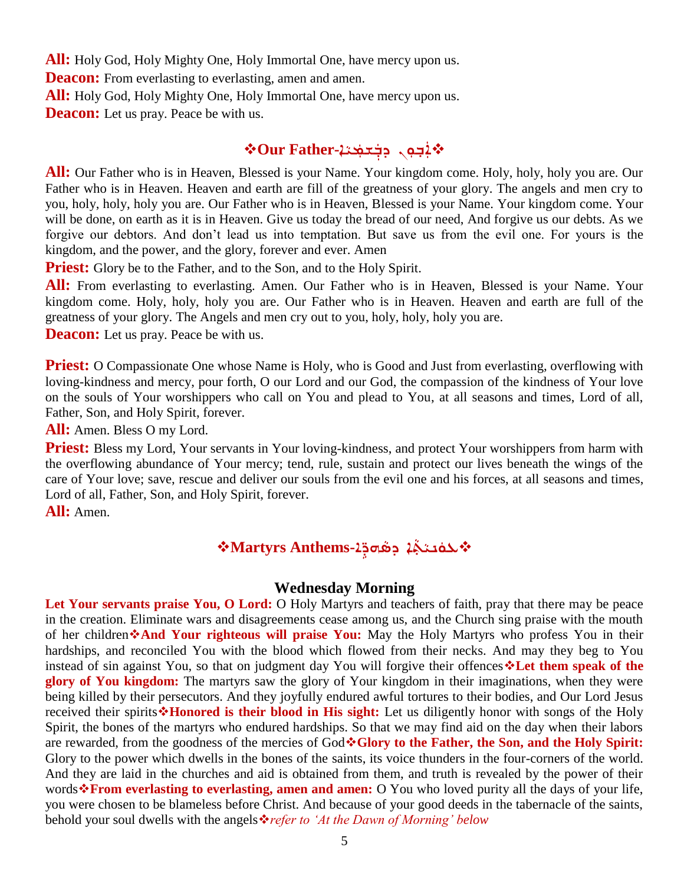All: Holy God, Holy Mighty One, Holy Immortal One, have mercy upon us. **Deacon:** From everlasting to everlasting, amen and amen. All: Holy God, Holy Mighty One, Holy Immortal One, have mercy upon us. **Deacon:** Let us pray. Peace be with us.

#### پ<br>جز<del>ی</del>ر د<del>انده ن</del>هر ج ܿ ܿ

**All:** Our Father who is in Heaven, Blessed is your Name. Your kingdom come. Holy, holy, holy you are. Our Father who is in Heaven. Heaven and earth are fill of the greatness of your glory. The angels and men cry to you, holy, holy, holy you are. Our Father who is in Heaven, Blessed is your Name. Your kingdom come. Your will be done, on earth as it is in Heaven. Give us today the bread of our need, And forgive us our debts. As we forgive our debtors. And don't lead us into temptation. But save us from the evil one. For yours is the kingdom, and the power, and the glory, forever and ever. Amen

**Priest:** Glory be to the Father, and to the Son, and to the Holy Spirit.

All: From everlasting to everlasting. Amen. Our Father who is in Heaven, Blessed is your Name. Your kingdom come. Holy, holy, holy you are. Our Father who is in Heaven. Heaven and earth are full of the greatness of your glory. The Angels and men cry out to you, holy, holy, holy you are.

**Deacon:** Let us pray. Peace be with us.

**Priest:** O Compassionate One whose Name is Holy, who is Good and Just from everlasting, overflowing with loving-kindness and mercy, pour forth, O our Lord and our God, the compassion of the kindness of Your love on the souls of Your worshippers who call on You and plead to You, at all seasons and times, Lord of all, Father, Son, and Holy Spirit, forever.

**All:** Amen. Bless O my Lord.

**Priest:** Bless my Lord, Your servants in Your loving-kindness, and protect Your worshippers from harm with the overflowing abundance of Your mercy; tend, rule, sustain and protect our lives beneath the wings of the care of Your love; save, rescue and deliver our souls from the evil one and his forces, at all seasons and times, Lord of all, Father, Son, and Holy Spirit, forever.

**All:** Amen.

#### <sup>❖</sup>Martyrs Anthems-2្วื้อ جڠەچّد ̈ ܵ ܿ

# **Wednesday Morning**

Let Your servants praise You, O Lord: O Holy Martyrs and teachers of faith, pray that there may be peace in the creation. Eliminate wars and disagreements cease among us, and the Church sing praise with the mouth of her children<sup>\*</sup>And Your righteous will praise You: May the Holy Martyrs who profess You in their hardships, and reconciled You with the blood which flowed from their necks. And may they beg to You instead of sin against You, so that on judgment day You will forgive their offences **Ext them speak of the glory of You kingdom:** The martyrs saw the glory of Your kingdom in their imaginations, when they were being killed by their persecutors. And they joyfully endured awful tortures to their bodies, and Our Lord Jesus received their spirits<sup>\*</sup>Honored is their blood in His sight: Let us diligently honor with songs of the Holy Spirit, the bones of the martyrs who endured hardships. So that we may find aid on the day when their labors are rewarded, from the goodness of the mercies of God**\*Glory to the Father, the Son, and the Holy Spirit:** Glory to the power which dwells in the bones of the saints, its voice thunders in the four-corners of the world. And they are laid in the churches and aid is obtained from them, and truth is revealed by the power of their words**From everlasting to everlasting, amen and amen:** O You who loved purity all the days of your life, you were chosen to be blameless before Christ. And because of your good deeds in the tabernacle of the saints, behold your soul dwells with the angels*refer to 'At the Dawn of Morning' below*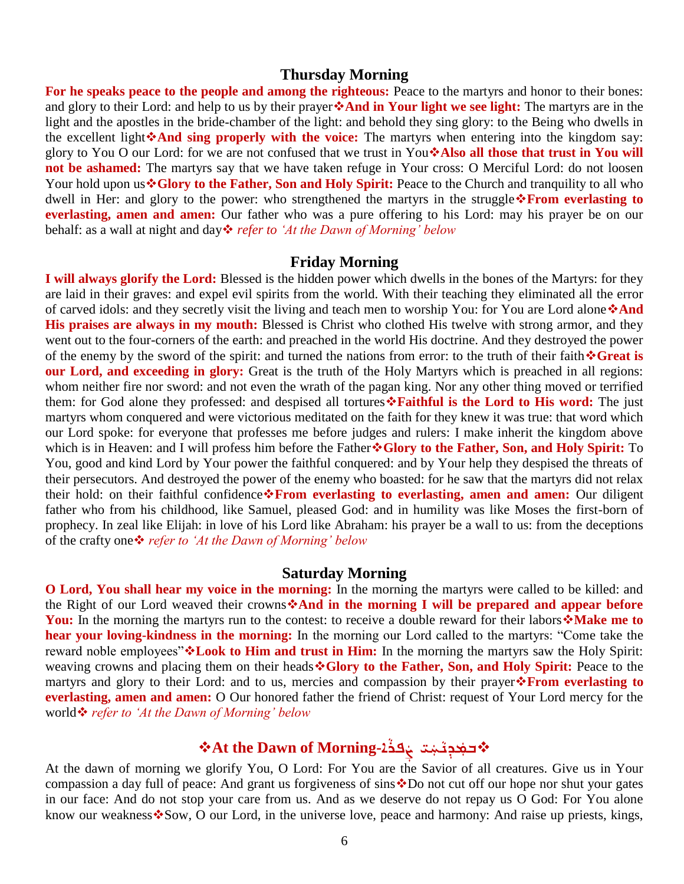# **Thursday Morning**

For he speaks peace to the people and among the righteous: Peace to the martyrs and honor to their bones: and glory to their Lord: and help to us by their prayer **And in Your light we see light:** The martyrs are in the light and the apostles in the bride-chamber of the light: and behold they sing glory: to the Being who dwells in the excellent light<sup>\*</sup>And sing properly with the voice: The martyrs when entering into the kingdom say: glory to You O our Lord: for we are not confused that we trust in You **Also all those that trust in You will not be ashamed:** The martyrs say that we have taken refuge in Your cross: O Merciful Lord: do not loosen Your hold upon us<sup>t</sup> Glory to the Father, Son and Holy Spirit: Peace to the Church and tranquility to all who dwell in Her: and glory to the power: who strengthened the martyrs in the struggle**☆From everlasting to everlasting, amen and amen:** Our father who was a pure offering to his Lord: may his prayer be on our behalf: as a wall at night and day *refer to 'At the Dawn of Morning' below*

### **Friday Morning**

**I will always glorify the Lord:** Blessed is the hidden power which dwells in the bones of the Martyrs: for they are laid in their graves: and expel evil spirits from the world. With their teaching they eliminated all the error of carved idols: and they secretly visit the living and teach men to worship You: for You are Lord alone  $*And$ **His praises are always in my mouth:** Blessed is Christ who clothed His twelve with strong armor, and they went out to the four-corners of the earth: and preached in the world His doctrine. And they destroyed the power of the enemy by the sword of the spirit: and turned the nations from error: to the truth of their faith **Great is our Lord, and exceeding in glory:** Great is the truth of the Holy Martyrs which is preached in all regions: whom neither fire nor sword: and not even the wrath of the pagan king. Nor any other thing moved or terrified them: for God alone they professed: and despised all tortures **Faithful is the Lord to His word:** The just martyrs whom conquered and were victorious meditated on the faith for they knew it was true: that word which our Lord spoke: for everyone that professes me before judges and rulers: I make inherit the kingdom above which is in Heaven: and I will profess him before the Father<sup>\*</sup>Glory to the Father, Son, and Holy Spirit: To You, good and kind Lord by Your power the faithful conquered: and by Your help they despised the threats of their persecutors. And destroyed the power of the enemy who boasted: for he saw that the martyrs did not relax their hold: on their faithful confidence **From everlasting to everlasting, amen and amen:** Our diligent father who from his childhood, like Samuel, pleased God: and in humility was like Moses the first-born of prophecy. In zeal like Elijah: in love of his Lord like Abraham: his prayer be a wall to us: from the deceptions of the crafty one *refer to 'At the Dawn of Morning' below*

# **Saturday Morning**

**O Lord, You shall hear my voice in the morning:** In the morning the martyrs were called to be killed: and the Right of our Lord weaved their crowns**\*And in the morning I will be prepared and appear before** You: In the morning the martyrs run to the contest: to receive a double reward for their labors \*Make me to **hear your loving-kindness in the morning:** In the morning our Lord called to the martyrs: "Come take the reward noble employees"\*Look to Him and trust in Him: In the morning the martyrs saw the Holy Spirit: weaving crowns and placing them on their heads \*Glory to the Father, Son, and Holy Spirit: Peace to the martyrs and glory to their Lord: and to us, mercies and compassion by their prayer<sup>\*</sup> From everlasting to **everlasting, amen and amen:** O Our honored father the friend of Christ: request of Your Lord mercy for the world *refer to 'At the Dawn of Morning' below*

#### ج<del>َدن</del>جٽن <sub>ج</sub>ُڪڏ-At the Dawn of Morning∻ ܵ  $\ddot{\phantom{a}}$ ܵ

At the dawn of morning we glorify You, O Lord: For You are the Savior of all creatures. Give us in Your compassion a day full of peace: And grant us forgiveness of sins $\cdot$ Do not cut off our hope nor shut your gates in our face: And do not stop your care from us. And as we deserve do not repay us O God: For You alone know our weakness  $\cdot$ Sow, O our Lord, in the universe love, peace and harmony: And raise up priests, kings,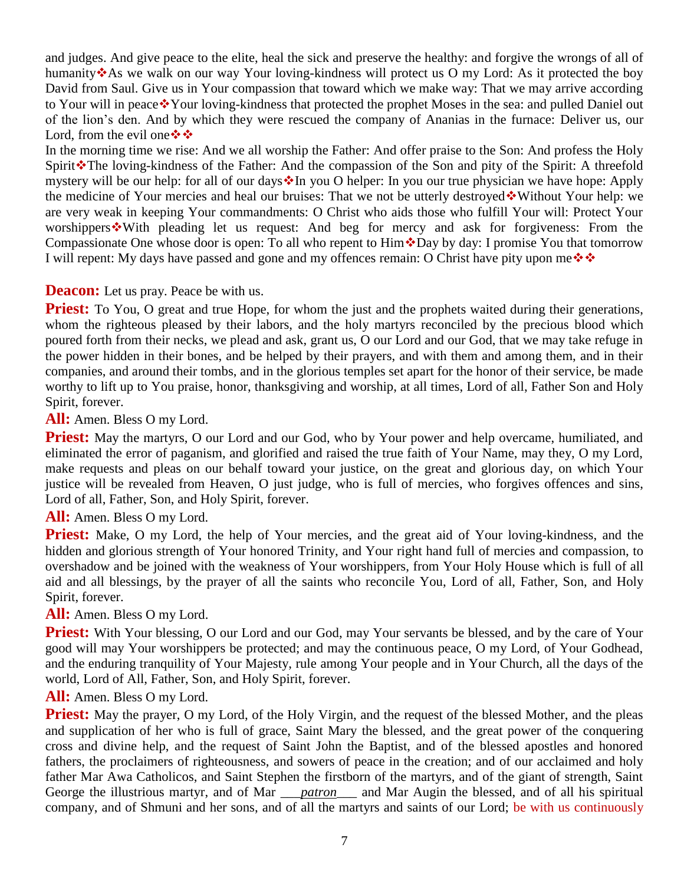and judges. And give peace to the elite, heal the sick and preserve the healthy: and forgive the wrongs of all of humanity $\triangle A$ s we walk on our way Your loving-kindness will protect us O my Lord: As it protected the boy David from Saul. Give us in Your compassion that toward which we make way: That we may arrive according to Your will in peace \* Your loving-kindness that protected the prophet Moses in the sea: and pulled Daniel out of the lion's den. And by which they were rescued the company of Ananias in the furnace: Deliver us, our Lord, from the evil one  $\mathbf{\hat{P}}$ 

In the morning time we rise: And we all worship the Father: And offer praise to the Son: And profess the Holy Spirit<sup>\*</sup>The loving-kindness of the Father: And the compassion of the Son and pity of the Spirit: A threefold mystery will be our help: for all of our days $\cdot \cdot$  In you O helper: In you our true physician we have hope: Apply the medicine of Your mercies and heal our bruises: That we not be utterly destroyed  $\cdot$  Without Your help: we are very weak in keeping Your commandments: O Christ who aids those who fulfill Your will: Protect Your worshippers  $\cdot$  With pleading let us request: And beg for mercy and ask for forgiveness: From the Compassionate One whose door is open: To all who repent to  $\text{Him} \cdot \text{Day}$  by day: I promise You that tomorrow I will repent: My days have passed and gone and my offences remain: O Christ have pity upon me  $\cdot \cdot$ 

# **Deacon:** Let us pray. Peace be with us.

**Priest:** To You, O great and true Hope, for whom the just and the prophets waited during their generations, whom the righteous pleased by their labors, and the holy martyrs reconciled by the precious blood which poured forth from their necks, we plead and ask, grant us, O our Lord and our God, that we may take refuge in the power hidden in their bones, and be helped by their prayers, and with them and among them, and in their companies, and around their tombs, and in the glorious temples set apart for the honor of their service, be made worthy to lift up to You praise, honor, thanksgiving and worship, at all times, Lord of all, Father Son and Holy Spirit, forever.

**All:** Amen. Bless O my Lord.

**Priest:** May the martyrs, O our Lord and our God, who by Your power and help overcame, humiliated, and eliminated the error of paganism, and glorified and raised the true faith of Your Name, may they, O my Lord, make requests and pleas on our behalf toward your justice, on the great and glorious day, on which Your justice will be revealed from Heaven, O just judge, who is full of mercies, who forgives offences and sins, Lord of all, Father, Son, and Holy Spirit, forever.

**All:** Amen. Bless O my Lord.

**Priest:** Make, O my Lord, the help of Your mercies, and the great aid of Your loving-kindness, and the hidden and glorious strength of Your honored Trinity, and Your right hand full of mercies and compassion, to overshadow and be joined with the weakness of Your worshippers, from Your Holy House which is full of all aid and all blessings, by the prayer of all the saints who reconcile You, Lord of all, Father, Son, and Holy Spirit, forever.

# **All:** Amen. Bless O my Lord.

**Priest:** With Your blessing, O our Lord and our God, may Your servants be blessed, and by the care of Your good will may Your worshippers be protected; and may the continuous peace, O my Lord, of Your Godhead, and the enduring tranquility of Your Majesty, rule among Your people and in Your Church, all the days of the world, Lord of All, Father, Son, and Holy Spirit, forever.

# **All:** Amen. Bless O my Lord.

**Priest:** May the prayer, O my Lord, of the Holy Virgin, and the request of the blessed Mother, and the pleas and supplication of her who is full of grace, Saint Mary the blessed, and the great power of the conquering cross and divine help, and the request of Saint John the Baptist, and of the blessed apostles and honored fathers, the proclaimers of righteousness, and sowers of peace in the creation; and of our acclaimed and holy father Mar Awa Catholicos, and Saint Stephen the firstborn of the martyrs, and of the giant of strength, Saint George the illustrious martyr, and of Mar *\_\_\_patron* and Mar Augin the blessed, and of all his spiritual company, and of Shmuni and her sons, and of all the martyrs and saints of our Lord; be with us continuously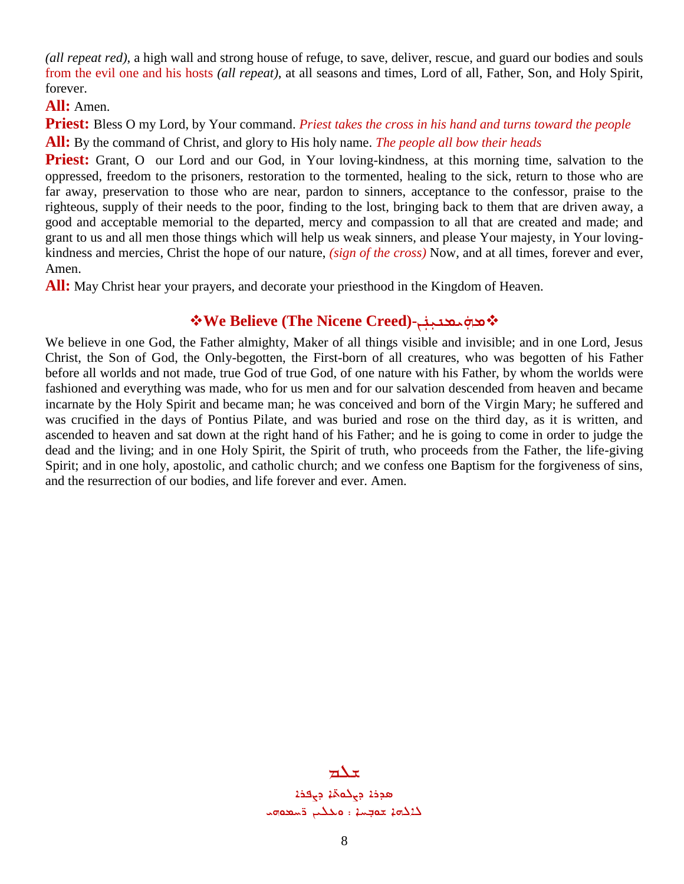*(all repeat red)*, a high wall and strong house of refuge, to save, deliver, rescue, and guard our bodies and souls from the evil one and his hosts *(all repeat)*, at all seasons and times, Lord of all, Father, Son, and Holy Spirit, forever.

**All:** Amen.

**Priest:** Bless O my Lord, by Your command. *Priest takes the cross in his hand and turns toward the people* **All:** By the command of Christ, and glory to His holy name. *The people all bow their heads* 

**Priest:** Grant, O our Lord and our God, in Your loving-kindness, at this morning time, salvation to the oppressed, freedom to the prisoners, restoration to the tormented, healing to the sick, return to those who are far away, preservation to those who are near, pardon to sinners, acceptance to the confessor, praise to the righteous, supply of their needs to the poor, finding to the lost, bringing back to them that are driven away, a good and acceptable memorial to the departed, mercy and compassion to all that are created and made; and grant to us and all men those things which will help us weak sinners, and please Your majesty, in Your lovingkindness and mercies, Christ the hope of our nature, *(sign of the cross)* Now, and at all times, forever and ever, Amen.

**All:** May Christ hear your prayers, and decorate your priesthood in the Kingdom of Heaven.

#### **We Believe (The Nicene Creed)-**ܤ ܝܡܣܝ ܣ ܡܗ ܿ ܿ

We believe in one God, the Father almighty, Maker of all things visible and invisible; and in one Lord, Jesus Christ, the Son of God, the Only-begotten, the First-born of all creatures, who was begotten of his Father before all worlds and not made, true God of true God, of one nature with his Father, by whom the worlds were fashioned and everything was made, who for us men and for our salvation descended from heaven and became incarnate by the Holy Spirit and became man; he was conceived and born of the Virgin Mary; he suffered and was crucified in the days of Pontius Pilate, and was buried and rose on the third day, as it is written, and ascended to heaven and sat down at the right hand of his Father; and he is going to come in order to judge the dead and the living; and in one Holy Spirit, the Spirit of truth, who proceeds from the Father, the life-giving Spirit; and in one holy, apostolic, and catholic church; and we confess one Baptism for the forgiveness of sins, and the resurrection of our bodies, and life forever and ever. Amen.

# ܫܠܡ

هڊذا ڊ<sub>ي</sub>كم<mark>ڭ</mark> ڊ<sub>ك</sub>فذا كَلِكُمْ مُعْصِدُ مُكْكِّبِ دَمْعُوهِ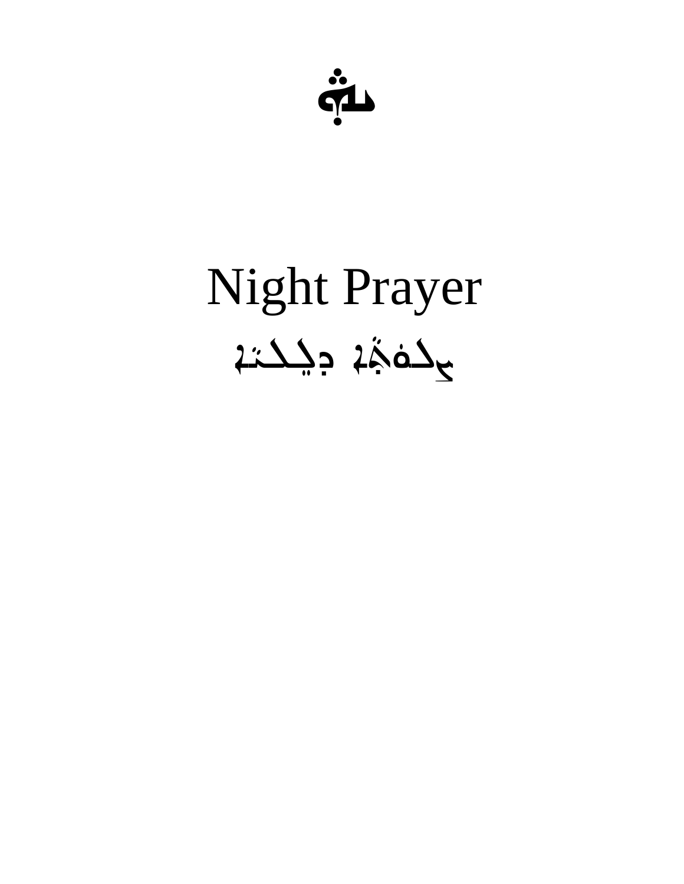نة

# Night Prayer ar كفكة ديكنة  $\mathbf{\hat{Z}}$  $\frac{1}{2}$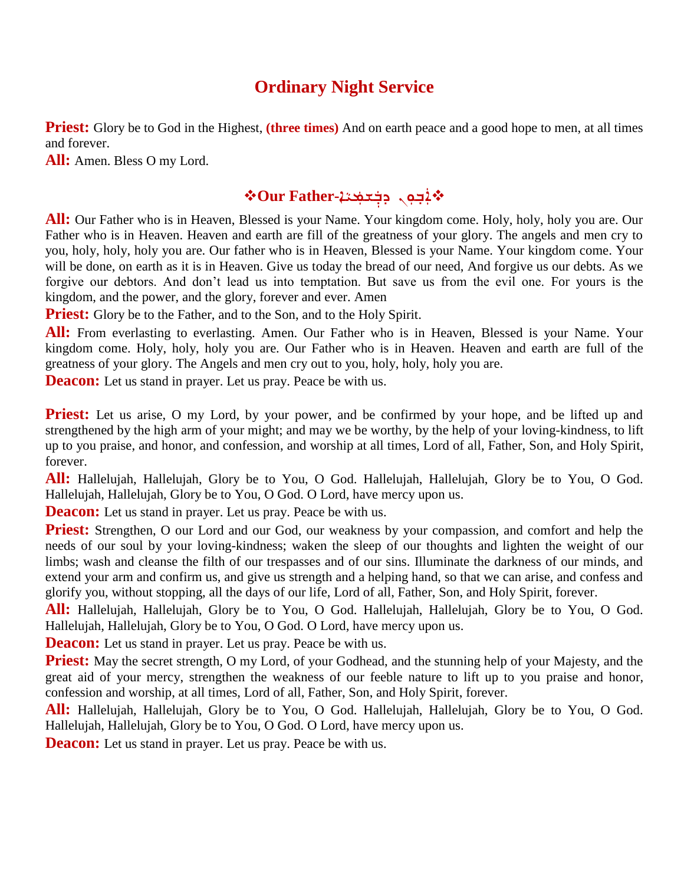# **Ordinary Night Service**

**Priest:** Glory be to God in the Highest, **(three times)** And on earth peace and a good hope to men, at all times and forever.

**All:** Amen. Bless O my Lord.

#### **Our Father-**ܐ ܝܵ ܼܬܡ ܿ ̣ܒ ܼܘ ̣ ܢ ܕܒ ܼ ܼܐ ܿ ܿ

**All:** Our Father who is in Heaven, Blessed is your Name. Your kingdom come. Holy, holy, holy you are. Our Father who is in Heaven. Heaven and earth are fill of the greatness of your glory. The angels and men cry to you, holy, holy, holy you are. Our father who is in Heaven, Blessed is your Name. Your kingdom come. Your will be done, on earth as it is in Heaven. Give us today the bread of our need, And forgive us our debts. As we forgive our debtors. And don"t lead us into temptation. But save us from the evil one. For yours is the kingdom, and the power, and the glory, forever and ever. Amen

**Priest:** Glory be to the Father, and to the Son, and to the Holy Spirit.

**All:** From everlasting to everlasting. Amen. Our Father who is in Heaven, Blessed is your Name. Your kingdom come. Holy, holy, holy you are. Our Father who is in Heaven. Heaven and earth are full of the greatness of your glory. The Angels and men cry out to you, holy, holy, holy you are.

**Deacon:** Let us stand in prayer. Let us pray. Peace be with us.

**Priest:** Let us arise, O my Lord, by your power, and be confirmed by your hope, and be lifted up and strengthened by the high arm of your might; and may we be worthy, by the help of your loving-kindness, to lift up to you praise, and honor, and confession, and worship at all times, Lord of all, Father, Son, and Holy Spirit, forever.

**All:** Hallelujah, Hallelujah, Glory be to You, O God. Hallelujah, Hallelujah, Glory be to You, O God. Hallelujah, Hallelujah, Glory be to You, O God. O Lord, have mercy upon us.

**Deacon:** Let us stand in prayer. Let us pray. Peace be with us.

**Priest:** Strengthen, O our Lord and our God, our weakness by your compassion, and comfort and help the needs of our soul by your loving-kindness; waken the sleep of our thoughts and lighten the weight of our limbs; wash and cleanse the filth of our trespasses and of our sins. Illuminate the darkness of our minds, and extend your arm and confirm us, and give us strength and a helping hand, so that we can arise, and confess and glorify you, without stopping, all the days of our life, Lord of all, Father, Son, and Holy Spirit, forever.

**All:** Hallelujah, Hallelujah, Glory be to You, O God. Hallelujah, Hallelujah, Glory be to You, O God. Hallelujah, Hallelujah, Glory be to You, O God. O Lord, have mercy upon us.

**Deacon:** Let us stand in prayer. Let us pray. Peace be with us.

**Priest:** May the secret strength, O my Lord, of your Godhead, and the stunning help of your Majesty, and the great aid of your mercy, strengthen the weakness of our feeble nature to lift up to you praise and honor, confession and worship, at all times, Lord of all, Father, Son, and Holy Spirit, forever.

**All:** Hallelujah, Hallelujah, Glory be to You, O God. Hallelujah, Hallelujah, Glory be to You, O God. Hallelujah, Hallelujah, Glory be to You, O God. O Lord, have mercy upon us.

**Deacon:** Let us stand in prayer. Let us pray. Peace be with us.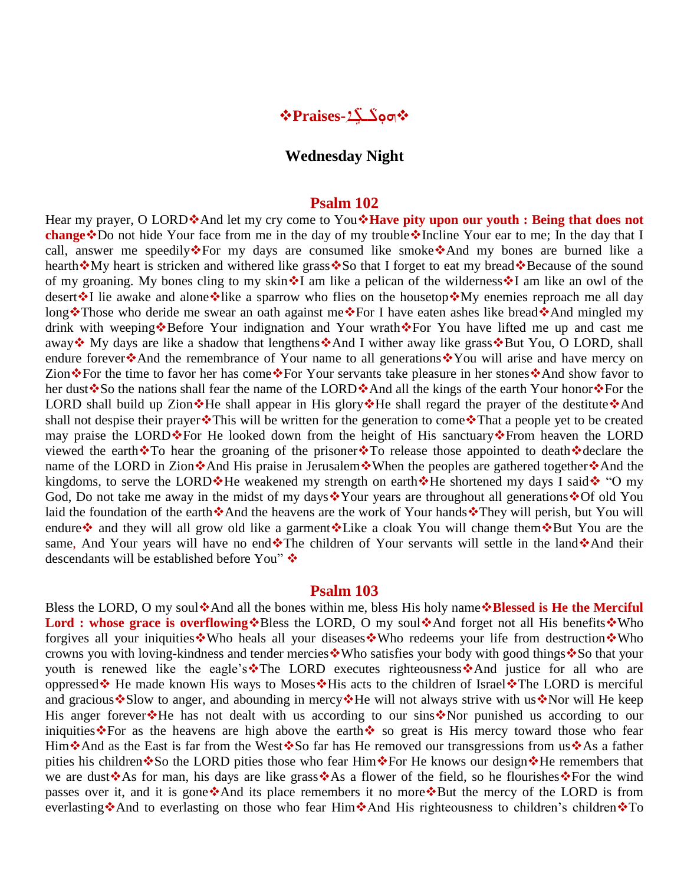#### ܹܐ**-Praises** ـܠ ܼܗܘܠ ̈ ܵ

# **Wednesday Night**

# **Psalm 102**

Hear my prayer, O LORD<sup>\*</sup>And let my cry come to You<sup>\*</sup>Have pity upon our youth : Being that does not **change**<sup>•</sup>Do not hide Your face from me in the day of my trouble••Incline Your ear to me; In the day that I call, answer me speedily For my days are consumed like smoke And my bones are burned like a hearth My heart is stricken and withered like grass  $\cdot$ So that I forget to eat my bread  $\cdot$ Because of the sound of my groaning. My bones cling to my skin $\cdot \cdot$ I am like a pelican of the wilderness $\cdot \cdot$ I am like an owl of the desert<sup>\*</sup>I lie awake and alone<sup>\*</sup>like a sparrow who flies on the housetop\*My enemies reproach me all day long❖ Those who deride me swear an oath against me❖ For I have eaten ashes like bread❖ And mingled my drink with weeping  $\cdot$  Before Your indignation and Your wrath  $\cdot$  For You have lifted me up and cast me away  $\cdot \cdot$  My days are like a shadow that lengthens  $\cdot \cdot$  And I wither away like grass  $\cdot \cdot$  But You, O LORD, shall endure forever<sup>\*</sup>And the remembrance of Your name to all generations<sup>\*</sup>You will arise and have mercy on Zion $\cdot$ For the time to favor her has come $\cdot$ For Your servants take pleasure in her stones $\cdot$ And show favor to her dust<sup>\*</sup>So the nations shall fear the name of the LORD\*And all the kings of the earth Your honor\*For the LORD shall build up Zion  $*$ He shall appear in His glory  $*$ He shall regard the prayer of the destitute  $*$ And shall not despise their prayer  $\cdot \cdot$ This will be written for the generation to come  $\cdot \cdot$ That a people yet to be created may praise the LORD For He looked down from the height of His sanctuary From heaven the LORD viewed the earth<sup>\*</sup>To hear the groaning of the prisoner<sup>\*</sup>To release those appointed to death\*declare the name of the LORD in Zion • And His praise in Jerusalem • When the peoples are gathered together • And the kingdoms, to serve the LORD  $*$ He weakened my strength on earth  $*$ He shortened my days I said  $*$  "O my God, Do not take me away in the midst of my days \*Your years are throughout all generations \*Of old You laid the foundation of the earth  $\triangle$  And the heavens are the work of Your hands  $\triangle$  They will perish, but You will endure and they will all grow old like a garment  $\cdot$ Like a cloak You will change them  $\cdot$ But You are the same, And Your years will have no end $\cdot \cdot$ The children of Your servants will settle in the land  $\cdot \cdot$ And their descendants will be established before You" ❖

### **Psalm 103**

Bless the LORD, O my soul<sup>\*</sup>And all the bones within me, bless His holy name<sup>\*</sup>Blessed is He the Merciful Lord : whose grace is overflowing  $\cdot$ Bless the LORD, O my soul  $\cdot$ And forget not all His benefits  $\cdot$ Who forgives all your iniquities Who heals all your diseases Who redeems your life from destruction Who crowns you with loving-kindness and tender mercies  $\cdot \cdot$ Who satisfies your body with good things $\cdot \cdot$ So that your youth is renewed like the eagle's<sup>\*</sup>The LORD executes righteousness<sup>\*</sup>And justice for all who are oppressed He made known His ways to Moses \* His acts to the children of Israel \* The LORD is merciful and gracious  $\cdot$  Slow to anger, and abounding in mercy  $\cdot$  He will not always strive with us  $\cdot$  Nor will He keep His anger forever<sup>\*</sup>He has not dealt with us according to our sins<sup>\*</sup>Nor punished us according to our iniquities: For as the heavens are high above the earth  $\cdot \cdot$  so great is His mercy toward those who fear Him<sup>•</sup> And as the East is far from the West<sup>•</sup> So far has He removed our transgressions from us<sup>•</sup> As a father pities his children $\cdot$ So the LORD pities those who fear Him $\cdot$ For He knows our design $\cdot$ He remembers that we are dust<sup>\*</sup>As for man, his days are like grass<sup>\*</sup>As a flower of the field, so he flourishes\*For the wind passes over it, and it is gone $\cdot \cdot$ And its place remembers it no more  $\cdot \cdot$ But the mercy of the LORD is from everlasting And to everlasting on those who fear Him And His righteousness to children's children  $\cdot$ To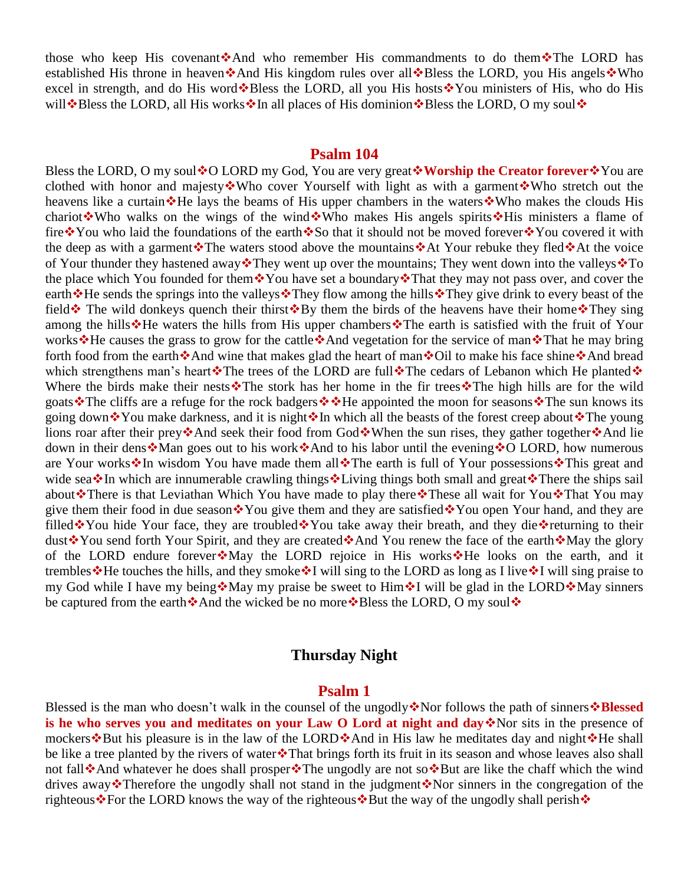those who keep His covenant<sup>\*</sup>And who remember His commandments to do them<sup>\*</sup>The LORD has established His throne in heaven<sup>\*</sup>And His kingdom rules over all<sup>\*</sup>Bless the LORD, you His angels\*Who excel in strength, and do His word \*Bless the LORD, all you His hosts \*You ministers of His, who do His will  $\cdot$ Bless the LORD, all His works $\cdot$ In all places of His dominion  $\cdot$ Bless the LORD, O my soul  $\cdot$ 

# **Psalm 104**

Bless the LORD, O my soul<sup>•</sup>O LORD my God, You are very great<sup>•</sup>Worship the Creator forever<sup>•</sup>You are clothed with honor and majesty Who cover Yourself with light as with a garment Who stretch out the heavens like a curtain  $*$ He lays the beams of His upper chambers in the waters  $*$ Who makes the clouds His chariot Who walks on the wings of the wind Who makes His angels spirits  $\cdot$  His ministers a flame of fire  $\cdot$  You who laid the foundations of the earth  $\cdot$  So that it should not be moved forever  $\cdot$  You covered it with the deep as with a garment  $\cdot$ The waters stood above the mountains  $\cdot$ At Your rebuke they fled  $\cdot$ At the voice of Your thunder they hastened away  $\cdot \cdot$  They went up over the mountains; They went down into the valleys  $\cdot \cdot$  To the place which You founded for them  $\cdot$  You have set a boundary  $\cdot$  That they may not pass over, and cover the earth  $*$  He sends the springs into the valleys  $*$  They flow among the hills  $*$  They give drink to every beast of the field  $\cdot$  The wild donkeys quench their thirst  $\cdot \cdot$  By them the birds of the heavens have their home  $\cdot \cdot$  They sing among the hills  $\cdot \cdot$  He waters the hills from His upper chambers  $\cdot \cdot$  The earth is satisfied with the fruit of Your works: He causes the grass to grow for the cattle And vegetation for the service of man  $\cdot$ That he may bring forth food from the earth And wine that makes glad the heart of man  $\cdot$ Oil to make his face shine  $\cdot$ And bread which strengthens man's heart The trees of the LORD are full The cedars of Lebanon which He planted  $\cdot$ Where the birds make their nests  $\cdot \cdot$ The stork has her home in the fir trees  $\cdot \cdot$ The high hills are for the wild goats  $\cdot \cdot$ The cliffs are a refuge for the rock badgers  $\cdot \cdot \cdot$ He appointed the moon for seasons  $\cdot \cdot$ The sun knows its going down<sup>\*</sup> You make darkness, and it is night<sup>\*</sup> In which all the beasts of the forest creep about<sup>\*</sup> The young lions roar after their prey\*And seek their food from God\*When the sun rises, they gather together\*And lie down in their dens<sup>\*</sup>Man goes out to his work\*And to his labor until the evening\*O LORD, how numerous are Your works<sup>\*</sup>In wisdom You have made them all<sup>\*</sup>The earth is full of Your possessions\*This great and wide sea $\cdot \cdot$  In which are innumerable crawling things  $\cdot \cdot$  Living things both small and great  $\cdot \cdot$  There the ships sail about<sup>\*</sup>There is that Leviathan Which You have made to play there\*These all wait for You\*That You may give them their food in due season  $\cdot \cdot$  You give them and they are satisfied  $\cdot \cdot$  You open Your hand, and they are filled  $\cdot$  You hide Your face, they are troubled  $\cdot$  You take away their breath, and they die  $\cdot$ returning to their dust<sup>\*</sup>You send forth Your Spirit, and they are created<sup>\*</sup>And You renew the face of the earth\*May the glory of the LORD endure forever<sup>\*</sup>May the LORD rejoice in His works<sup>\*</sup>He looks on the earth, and it trembles  $\cdot \cdot$  He touches the hills, and they smoke  $\cdot \cdot$  I will sing to the LORD as long as I live  $\cdot \cdot$  I will sing praise to my God while I have my being May my praise be sweet to Him  $\cdot$ I will be glad in the LORD  $\cdot$ May sinners be captured from the earth  $\cdot \cdot$  And the wicked be no more  $\cdot \cdot$  Bless the LORD, O my soul  $\cdot \cdot$ 

# **Thursday Night**

### **Psalm 1**

Blessed is the man who doesn't walk in the counsel of the ungodly<sup>\*</sup>Nor follows the path of sinners<sup>\*</sup>Blessed is he who serves you and meditates on your Law O Lord at night and day<sup>\*</sup>Nor sits in the presence of mockers  $\cdot$  But his pleasure is in the law of the LORD  $\cdot$  And in His law he meditates day and night  $\cdot$  He shall be like a tree planted by the rivers of water $\cdot \cdot$ That brings forth its fruit in its season and whose leaves also shall not fall<sup>\*</sup>And whatever he does shall prosper<sup>\*</sup>The ungodly are not so<sup>\*</sup>But are like the chaff which the wind drives away<sup>\*</sup>Therefore the ungodly shall not stand in the judgment\*Nor sinners in the congregation of the righteous For the LORD knows the way of the righteous  $\cdot$ But the way of the ungodly shall perish  $\cdot$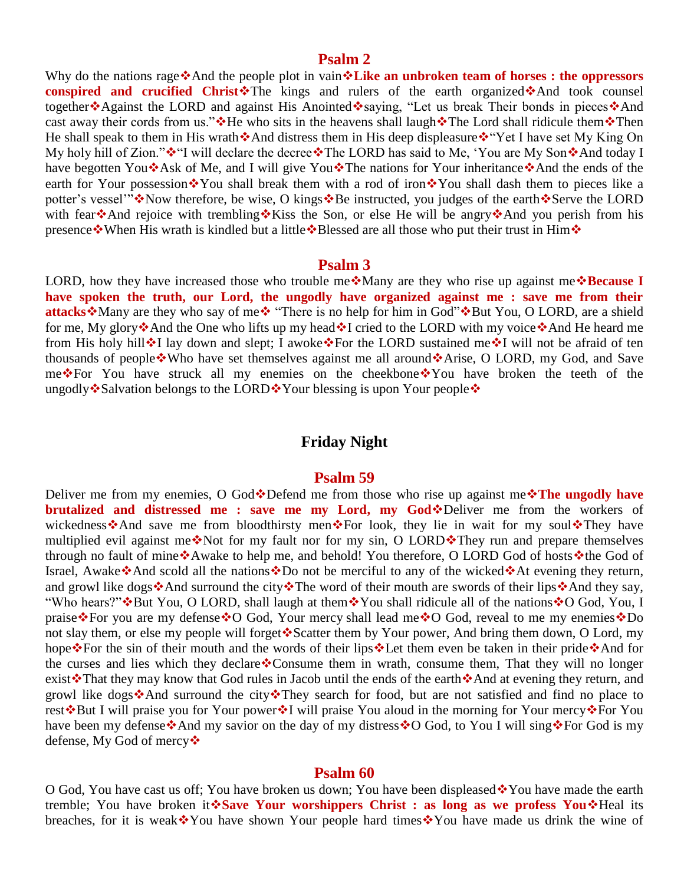### **Psalm 2**

Why do the nations rage<sup>\*</sup>And the people plot in vain<sup>\*</sup>Like an unbroken team of horses : the oppressors conspired and crucified Christ<sup>\*</sup>The kings and rulers of the earth organized<sup>\*</sup>And took counsel together<sup>\*</sup>Against the LORD and against His Anointed\*saying, "Let us break Their bonds in pieces\*And cast away their cords from us."\*He who sits in the heavens shall laugh\*The Lord shall ridicule them\*Then He shall speak to them in His wrath  $\clubsuit$  And distress them in His deep displeasure  $\clubsuit$  "Yet I have set My King On My holy hill of Zion."\*"I will declare the decree The LORD has said to Me, 'You are My Son\*And today I have begotten You\*Ask of Me, and I will give You\*The nations for Your inheritance\*And the ends of the earth for Your possession  $\cdot$ You shall break them with a rod of iron  $\cdot$ You shall dash them to pieces like a potter's vessel" Now therefore, be wise, O kings Be instructed, you judges of the earth Serve the LORD with fear And rejoice with trembling  $\cdot$ Kiss the Son, or else He will be angry  $\cdot$ And you perish from his presence When His wrath is kindled but a little Blessed are all those who put their trust in Him  $\cdot$ 

### **Psalm 3**

LORD, how they have increased those who trouble me❖Many are they who rise up against me❖Because I have spoken the truth, our Lord, the ungodly have organized against me : save me from their attacks<sup>\*</sup>Many are they who say of me\* "There is no help for him in God"\*But You, O LORD, are a shield for me, My glory<sup>\*</sup>And the One who lifts up my head<sup>\*\*</sup>I cried to the LORD with my voice\*And He heard me from His holy hill<sup>\*</sup>I lay down and slept; I awoke<sup>\*</sup>For the LORD sustained me<sup>\*</sup>I will not be afraid of ten thousands of people \* Who have set themselves against me all around \* Arise, O LORD, my God, and Save me\*For You have struck all my enemies on the cheekbone\*You have broken the teeth of the ungodly  $\cdot$ Salvation belongs to the LORD  $\cdot$ Your blessing is upon Your people  $\cdot$ 

# **Friday Night**

### **Psalm 59**

Deliver me from my enemies, O God<sup>\*</sup>Defend me from those who rise up against me<sup>\*</sup>The ungodly have **brutalized and distressed me : save me my Lord, my God\*Deliver me from the workers of** wickedness And save me from bloodthirsty men For look, they lie in wait for my soul  $\cdot$ They have multiplied evil against me<sup>\*</sup>Not for my fault nor for my sin, O LORD<sup>\*</sup>They run and prepare themselves through no fault of mine<sup>\*</sup>Awake to help me, and behold! You therefore, O LORD God of hosts<sup>\*\*</sup>the God of Israel, Awake<sup>\*</sup>And scold all the nations<sup>\*</sup>Do not be merciful to any of the wicked<sup>\*</sup>At evening they return, and growl like dogs<sup>\*</sup>And surround the city\*The word of their mouth are swords of their lips\*And they say, "Who hears?"\* But You, O LORD, shall laugh at them\* You shall ridicule all of the nations\* O God, You, I praise For you are my defense  $\odot$  God, Your mercy shall lead me $\odot$  God, reveal to me my enemies  $\odot$  Do not slay them, or else my people will forget \*Scatter them by Your power, And bring them down, O Lord, my hope<sup>•</sup>For the sin of their mouth and the words of their lips••Let them even be taken in their pride••And for the curses and lies which they declare  $\cdot$ Consume them in wrath, consume them, That they will no longer exist<sup>\*</sup>That they may know that God rules in Jacob until the ends of the earth<sup>\*</sup>And at evening they return, and growl like dogs<sup>\*</sup>And surround the city\*They search for food, but are not satisfied and find no place to rest<sup>\*</sup>But I will praise you for Your power<sup>\*</sup>I will praise You aloud in the morning for Your mercy\*For You have been my defense  $\bullet$  And my savior on the day of my distress  $\bullet$  O God, to You I will sing  $\bullet$  For God is my defense, My God of mercy

### **Psalm 60**

O God, You have cast us off; You have broken us down; You have been displeased \*You have made the earth tremble; You have broken it<sup>\*</sup>Save Your worshippers Christ : as long as we profess You<sup>\*</sup>Heal its breaches, for it is weak  $\cdot$ You have shown Your people hard times  $\cdot$ You have made us drink the wine of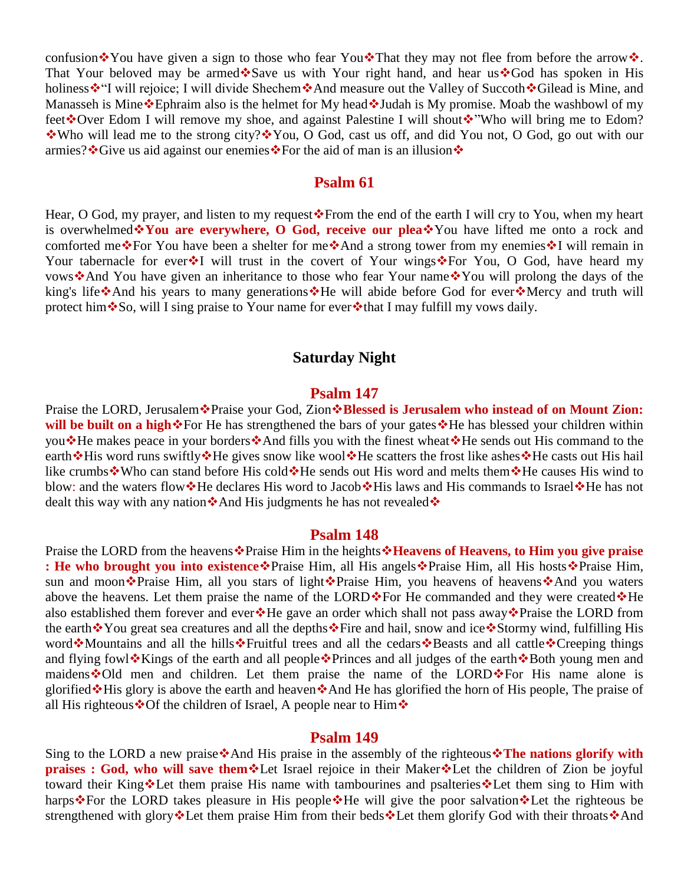confusion  $\cdot$  You have given a sign to those who fear You  $\cdot$  That they may not flee from before the arrow  $\cdot$ . That Your beloved may be armed  $\cdot$ Save us with Your right hand, and hear us $\cdot$ God has spoken in His holiness : "I will rejoice; I will divide Shechem • And measure out the Valley of Succoth • Gilead is Mine, and Manasseh is Mine  $\cdot \cdot$  Ephraim also is the helmet for My head  $\cdot \cdot$  Judah is My promise. Moab the washbowl of my feet<sup>\*\*</sup>Over Edom I will remove my shoe, and against Palestine I will shout\*\*\*Who will bring me to Edom? Who will lead me to the strong city?You, O God, cast us off, and did You not, O God, go out with our armies? $\cdot$ Give us aid against our enemies  $\cdot$ For the aid of man is an illusion  $\cdot$ 

# **Psalm 61**

Hear, O God, my prayer, and listen to my request  $\bullet$  From the end of the earth I will cry to You, when my heart is overwhelmed<sup>\*</sup>You are everywhere, O God, receive our plea<sup>\*</sup>You have lifted me onto a rock and comforted me\*For You have been a shelter for me\*And a strong tower from my enemies\*I will remain in Your tabernacle for ever<sup>\*</sup>I will trust in the covert of Your wings\*For You, O God, have heard my vows<sup>•</sup>And You have given an inheritance to those who fear Your name• You will prolong the days of the king's life<sup>\*</sup>And his years to many generations<sup>\*</sup>He will abide before God for ever<sup>\*</sup>Mercy and truth will protect him  $\cdot$ So, will I sing praise to Your name for ever  $\cdot$  that I may fulfill my vows daily.

# **Saturday Night**

# **Psalm 147**

Praise the LORD, Jerusalem<sup>\*</sup>Praise your God, Zion<sup>\*</sup>Blessed is Jerusalem who instead of on Mount Zion: will be built on a high<sup>\*</sup>For He has strengthened the bars of your gates<sup>\*</sup>He has blessed your children within you: He makes peace in your borders: And fills you with the finest wheat: He sends out His command to the earth: His word runs swiftly  $\cdot \cdot$  He gives snow like wool  $\cdot \cdot$  He scatters the frost like ashes  $\cdot \cdot$  He casts out His hail like crumbs<sup>\*</sup>Who can stand before His cold<sup>\*</sup>He sends out His word and melts them<sup>\*</sup>He causes His wind to blow: and the waters flow❖He declares His word to Jacob❖His laws and His commands to Israel❖He has not dealt this way with any nation  $\cdot \cdot$  And His judgments he has not revealed  $\cdot \cdot$ 

### **Psalm 148**

Praise the LORD from the heavens**∜** Praise Him in the heights**\* Heavens of Heavens, to Him you give praise : He who brought you into existence** \* Praise Him, all His angels \* Praise Him, all His hosts \* Praise Him, sun and moon: Praise Him, all you stars of light: Praise Him, you heavens of heavens: And you waters above the heavens. Let them praise the name of the LORD  $\cdot$ For He commanded and they were created  $\cdot$ He also established them forever and ever  $\cdot \cdot$ He gave an order which shall not pass away  $\cdot \cdot$ Praise the LORD from the earth  $\cdot$  You great sea creatures and all the depths  $\cdot$  Fire and hail, snow and ice  $\cdot$  Stormy wind, fulfilling His word Mountains and all the hills Fruitful trees and all the cedars  $\cdot$  Beasts and all cattle  $\cdot$  Creeping things and flying fowl<sup>\*</sup>Kings of the earth and all people\*Princes and all judges of the earth\*Both young men and maidens<sup>\*</sup>Old men and children. Let them praise the name of the LORD<sup>\*</sup>For His name alone is glorified  $*$  His glory is above the earth and heaven  $*$  And He has glorified the horn of His people, The praise of all His righteous  $\cdot$ Of the children of Israel, A people near to Him $\cdot$ 

### **Psalm 149**

Sing to the LORD a new praise And His praise in the assembly of the righteous  $\cdot$ The nations glorify with **praises : God, who will save them** Let Israel rejoice in their Maker Let the children of Zion be joyful toward their King let them praise His name with tambourines and psalteries let them sing to Him with harps<sup>\*</sup>For the LORD takes pleasure in His people<sup>\*</sup>He will give the poor salvation\*Let the righteous be strengthened with glory let them praise Him from their beds let them glorify God with their throats  $\cdot$  And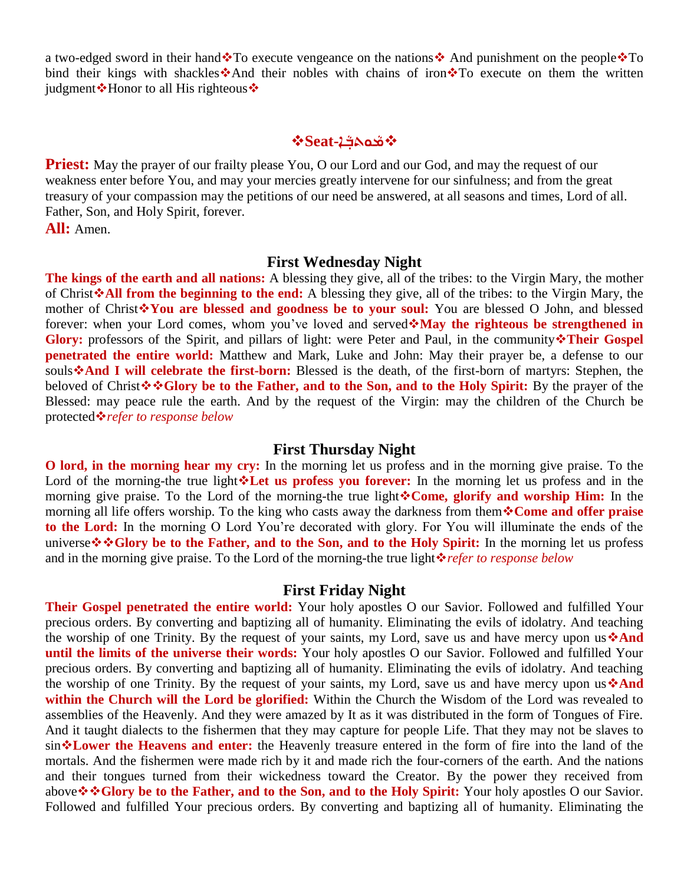a two-edged sword in their hand  $\cdot$ To execute vengeance on the nations  $\cdot$  And punishment on the people  $\cdot$ To bind their kings with shackles  $\cdot \cdot$  And their nobles with chains of iron  $\cdot \cdot$  To execute on them the written judgment  $\cdot \cdot$  Honor to all His righteous  $\cdot \cdot$ 

# ܐ**-Seat** ̣ ܘܬܒܵ ܡܵ

**Priest:** May the prayer of our frailty please You, O our Lord and our God, and may the request of our weakness enter before You, and may your mercies greatly intervene for our sinfulness; and from the great treasury of your compassion may the petitions of our need be answered, at all seasons and times, Lord of all. Father, Son, and Holy Spirit, forever.

**All:** Amen.

### **First Wednesday Night**

**The kings of the earth and all nations:** A blessing they give, all of the tribes: to the Virgin Mary, the mother of Christ**All from the beginning to the end:** A blessing they give, all of the tribes: to the Virgin Mary, the mother of Christ<sup>\*</sup>You are blessed and goodness be to your soul: You are blessed O John, and blessed forever: when your Lord comes, whom you've loved and served **May the righteous be strengthened in** Glory: professors of the Spirit, and pillars of light: were Peter and Paul, in the community<sup>\*</sup>Their Gospel **penetrated the entire world:** Matthew and Mark, Luke and John: May their prayer be, a defense to our souls<sup>\*</sup>And I will celebrate the first-born: Blessed is the death, of the first-born of martyrs: Stephen, the beloved of Christ<sup>\*\*</sup> Glory be to the Father, and to the Son, and to the Holy Spirit: By the prayer of the Blessed: may peace rule the earth. And by the request of the Virgin: may the children of the Church be protected  $\cdot \cdot$  *refer to response below* 

### **First Thursday Night**

**O lord, in the morning hear my cry:** In the morning let us profess and in the morning give praise. To the Lord of the morning-the true light  $\triangle$ **Let us profess you forever:** In the morning let us profess and in the morning give praise. To the Lord of the morning-the true light **Come, glorify and worship Him:** In the morning all life offers worship. To the king who casts away the darkness from them<sup>\*</sup> Come and offer praise **to the Lord:** In the morning O Lord You"re decorated with glory. For You will illuminate the ends of the universe \*\*\* Glory be to the Father, and to the Son, and to the Holy Spirit: In the morning let us profess and in the morning give praise. To the Lord of the morning-the true light<sup>s</sup> refer to response below

# **First Friday Night**

**Their Gospel penetrated the entire world:** Your holy apostles O our Savior. Followed and fulfilled Your precious orders. By converting and baptizing all of humanity. Eliminating the evils of idolatry. And teaching the worship of one Trinity. By the request of your saints, my Lord, save us and have mercy upon us  $*And$ **until the limits of the universe their words:** Your holy apostles O our Savior. Followed and fulfilled Your precious orders. By converting and baptizing all of humanity. Eliminating the evils of idolatry. And teaching the worship of one Trinity. By the request of your saints, my Lord, save us and have mercy upon us $\dots$ And **within the Church will the Lord be glorified:** Within the Church the Wisdom of the Lord was revealed to assemblies of the Heavenly. And they were amazed by It as it was distributed in the form of Tongues of Fire. And it taught dialects to the fishermen that they may capture for people Life. That they may not be slaves to sin**\*Lower the Heavens and enter:** the Heavenly treasure entered in the form of fire into the land of the mortals. And the fishermen were made rich by it and made rich the four-corners of the earth. And the nations and their tongues turned from their wickedness toward the Creator. By the power they received from above**Glory be to the Father, and to the Son, and to the Holy Spirit:** Your holy apostles O our Savior. Followed and fulfilled Your precious orders. By converting and baptizing all of humanity. Eliminating the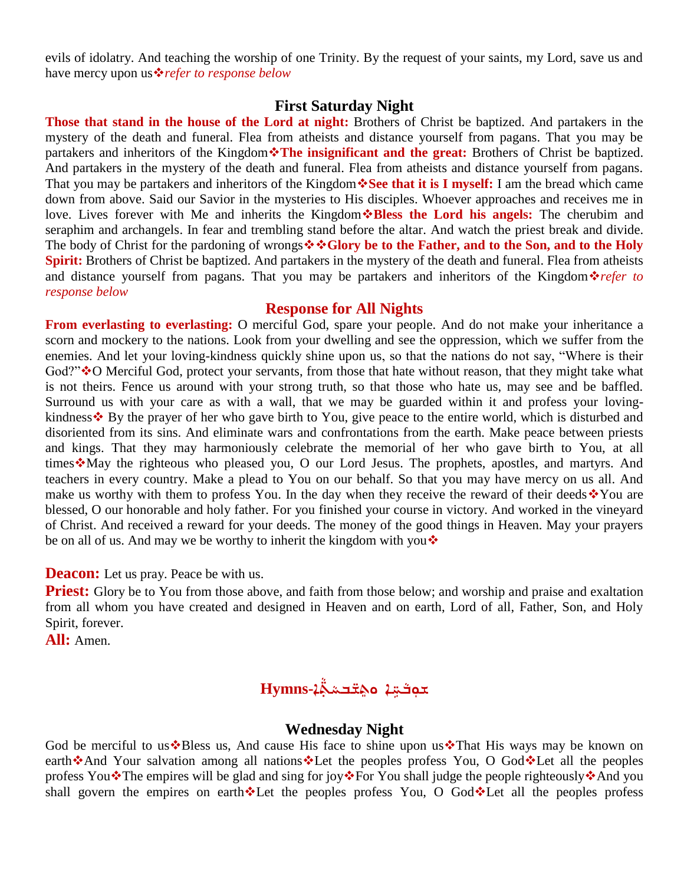evils of idolatry. And teaching the worship of one Trinity. By the request of your saints, my Lord, save us and have mercy upon us<sup>\*</sup> *refer to response below* 

# **First Saturday Night**

**Those that stand in the house of the Lord at night:** Brothers of Christ be baptized. And partakers in the mystery of the death and funeral. Flea from atheists and distance yourself from pagans. That you may be partakers and inheritors of the Kingdom  $\hat{\mathbf{v}}$ The insignificant and the great: Brothers of Christ be baptized. And partakers in the mystery of the death and funeral. Flea from atheists and distance yourself from pagans. That you may be partakers and inheritors of the Kingdom**⊗See that it is I myself:** I am the bread which came down from above. Said our Savior in the mysteries to His disciples. Whoever approaches and receives me in love. Lives forever with Me and inherits the Kingdom<sup>\*</sup> Bless the Lord his angels: The cherubim and seraphim and archangels. In fear and trembling stand before the altar. And watch the priest break and divide. The body of Christ for the pardoning of wrongs**∜ \*Glory be to the Father, and to the Son, and to the Holy Spirit:** Brothers of Christ be baptized. And partakers in the mystery of the death and funeral. Flea from atheists and distance yourself from pagans. That you may be partakers and inheritors of the Kingdom<sup>\*</sup>refer to *response below*

# **Response for All Nights**

**From everlasting to everlasting:** O merciful God, spare your people. And do not make your inheritance a scorn and mockery to the nations. Look from your dwelling and see the oppression, which we suffer from the enemies. And let your loving-kindness quickly shine upon us, so that the nations do not say, "Where is their God?"<sup>\*</sup> O Merciful God, protect your servants, from those that hate without reason, that they might take what is not theirs. Fence us around with your strong truth, so that those who hate us, may see and be baffled. Surround us with your care as with a wall, that we may be guarded within it and profess your lovingkindness  $\cdot \cdot$  By the prayer of her who gave birth to You, give peace to the entire world, which is disturbed and disoriented from its sins. And eliminate wars and confrontations from the earth. Make peace between priests and kings. That they may harmoniously celebrate the memorial of her who gave birth to You, at all times  $M$ ay the righteous who pleased you, O our Lord Jesus. The prophets, apostles, and martyrs. And teachers in every country. Make a plead to You on our behalf. So that you may have mercy on us all. And make us worthy with them to profess You. In the day when they receive the reward of their deeds  $\cdot$ You are blessed, O our honorable and holy father. For you finished your course in victory. And worked in the vineyard of Christ. And received a reward for your deeds. The money of the good things in Heaven. May your prayers be on all of us. And may we be worthy to inherit the kingdom with you  $\ddot{\bullet}$ 

**Deacon:** Let us pray. Peace be with us.

**Priest:** Glory be to You from those above, and faith from those below; and worship and praise and exaltation from all whom you have created and designed in Heaven and on earth, Lord of all, Father, Son, and Holy Spirit, forever.

**All:** Amen.

#### \_\_<br><del>۳ م</del>وتـية مھ<del>ِّد</del>ــمَـجُّهُ ܵ̈ ̈ ̈

### **Wednesday Night**

God be merciful to us<sup>t</sup> Bless us, And cause His face to shine upon us<sup>t</sup> That His ways may be known on earth And Your salvation among all nations Let the peoples profess You, O God Let all the peoples profess You<sup> $\triangle$ </sup>The empires will be glad and sing for joy  $\triangle$ For You shall judge the people righteously  $\triangle$  And you shall govern the empires on earth. Let the peoples profess You, O God. Let all the peoples profess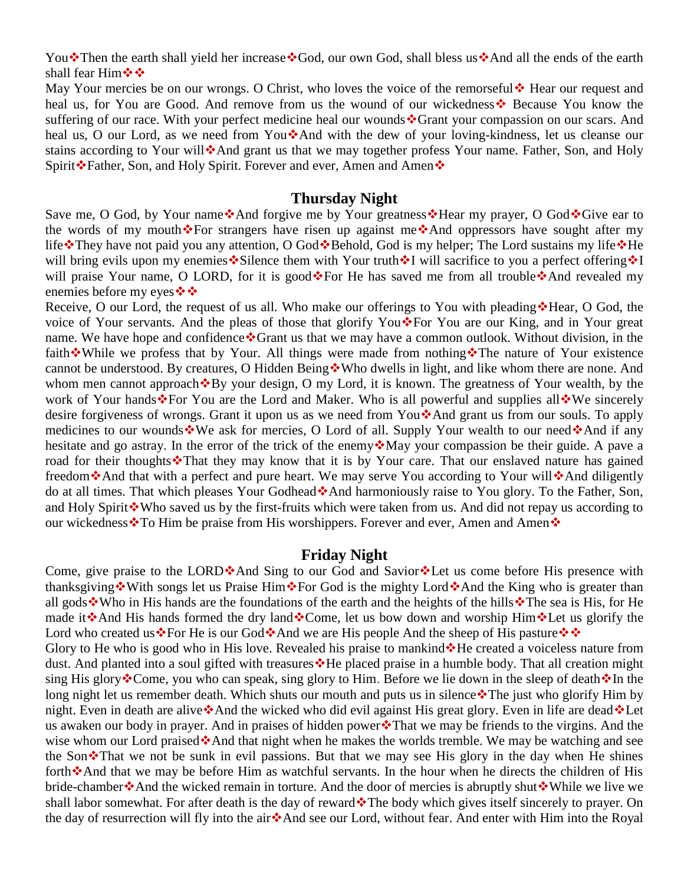You  $\cdot$  Then the earth shall yield her increase  $\cdot$  God, our own God, shall bless us  $\cdot$  And all the ends of the earth shall fear Him **\* \*** 

May Your mercies be on our wrongs. O Christ, who loves the voice of the remorseful  $\div$  Hear our request and heal us, for You are Good. And remove from us the wound of our wickedness  $\cdot \cdot$  Because You know the suffering of our race. With your perfect medicine heal our wounds Grant your compassion on our scars. And heal us, O our Lord, as we need from You<sup>\*</sup>And with the dew of your loving-kindness, let us cleanse our stains according to Your will<sup>\*</sup>And grant us that we may together profess Your name. Father, Son, and Holy Spirit \* Father, Son, and Holy Spirit. Forever and ever, Amen and Amen \*

### **Thursday Night**

Save me, O God, by Your name • And forgive me by Your greatness • Hear my prayer, O God • Give ear to the words of my mouth For strangers have risen up against me $\cdot$ And oppressors have sought after my life<sup>•</sup>They have not paid you any attention, O God•Behold, God is my helper; The Lord sustains my life••He will bring evils upon my enemies Silence them with Your truth  $\cdot I$  will sacrifice to you a perfect offering  $\cdot I$ will praise Your name, O LORD, for it is good  $\cdot$ For He has saved me from all trouble  $\cdot$ And revealed my enemies before my eyes  $\cdot \cdot \cdot$ 

Receive, O our Lord, the request of us all. Who make our offerings to You with pleading  $*$  Hear, O God, the voice of Your servants. And the pleas of those that glorify You For You are our King, and in Your great name. We have hope and confidence Grant us that we may have a common outlook. Without division, in the faith While we profess that by Your. All things were made from nothing The nature of Your existence cannot be understood. By creatures, O Hidden Being $\cdot$ Who dwells in light, and like whom there are none. And whom men cannot approach  $\cdot$ By your design, O my Lord, it is known. The greatness of Your wealth, by the work of Your hands<sup>\*</sup>For You are the Lord and Maker. Who is all powerful and supplies all\*We sincerely desire forgiveness of wrongs. Grant it upon us as we need from You<sup>t</sup> And grant us from our souls. To apply medicines to our wounds We ask for mercies, O Lord of all. Supply Your wealth to our need  $\cdot$ And if any hesitate and go astray. In the error of the trick of the enemy May your compassion be their guide. A pave a road for their thoughts\*That they may know that it is by Your care. That our enslaved nature has gained freedom And that with a perfect and pure heart. We may serve You according to Your will And diligently do at all times. That which pleases Your Godhead  $\bullet$  And harmoniously raise to You glory. To the Father, Son, and Holy Spirit<sup>\*</sup>Who saved us by the first-fruits which were taken from us. And did not repay us according to our wickedness  $\cdot$  To Him be praise from His worshippers. Forever and ever, Amen and Amen  $\cdot$ 

### **Friday Night**

Come, give praise to the LORD<sup>\*</sup>And Sing to our God and Savior<sup>\*</sup>Let us come before His presence with thanksgiving With songs let us Praise Him For God is the mighty Lord  $*$  And the King who is greater than all gods<sup>\*</sup>Who in His hands are the foundations of the earth and the heights of the hills<sup>\*</sup>The sea is His, for He made it<sup>\*</sup>And His hands formed the dry land\*Come, let us bow down and worship Him\*Let us glorify the Lord who created us: For He is our God: And we are His people And the sheep of His pasture  $\mathbf{\hat{P}}$ Glory to He who is good who in His love. Revealed his praise to mankind $\cdot$ He created a voiceless nature from

dust. And planted into a soul gifted with treasures  $\cdot \cdot$  He placed praise in a humble body. That all creation might sing His glory  $\cdot$  Come, you who can speak, sing glory to Him. Before we lie down in the sleep of death $\cdot$  In the long night let us remember death. Which shuts our mouth and puts us in silence  $\cdot$ The just who glorify Him by night. Even in death are alive And the wicked who did evil against His great glory. Even in life are dead  $\cdot$ Let us awaken our body in prayer. And in praises of hidden power $\cdot$ That we may be friends to the virgins. And the wise whom our Lord praised  $\cdot$  And that night when he makes the worlds tremble. We may be watching and see the Son $\cdot$ That we not be sunk in evil passions. But that we may see His glory in the day when He shines forth $\triangle$ And that we may be before Him as watchful servants. In the hour when he directs the children of His bride-chamber<sup>\*</sup>And the wicked remain in torture. And the door of mercies is abruptly shut\*While we live we shall labor somewhat. For after death is the day of reward  $\cdot \cdot$ The body which gives itself sincerely to prayer. On the day of resurrection will fly into the air<sup>\*</sup>And see our Lord, without fear. And enter with Him into the Royal